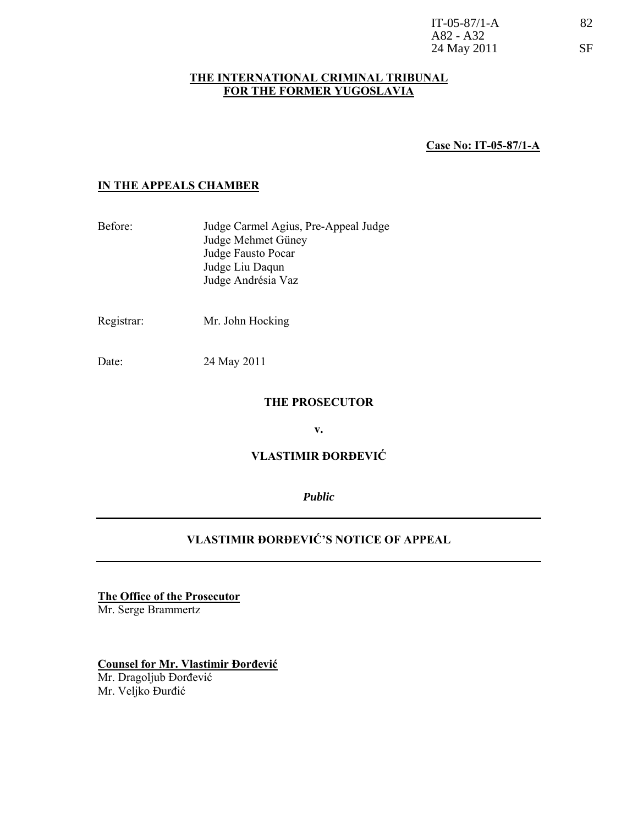| $IT-05-87/1-A$ | 82        |
|----------------|-----------|
| A82 - A32      |           |
| 24 May 2011    | <b>SF</b> |

### **THE INTERNATIONAL CRIMINAL TRIBUNAL FOR THE FORMER YUGOSLAVIA**

**Case No: IT-05-87/1-A**

## **IN THE APPEALS CHAMBER**

- Before: Judge Carmel Agius, Pre-Appeal Judge Judge Mehmet Güney Judge Fausto Pocar Judge Liu Daqun Judge Andrésia Vaz
- Registrar:Mr. John Hocking

Date: 24 May 2011

### **THE PROSECUTOR**

**v.** 

# **VLASTIMIR ĐORĐEVIĆ**

*Public* 

# **VLASTIMIR ĐORĐEVIĆ'S NOTICE OF APPEAL**

**The Office of the Prosecutor** Mr. Serge Brammertz

**Counsel for Mr. Vlastimir Đorđević** Mr. Dragoljub Đorđević Mr. Veljko Đurđić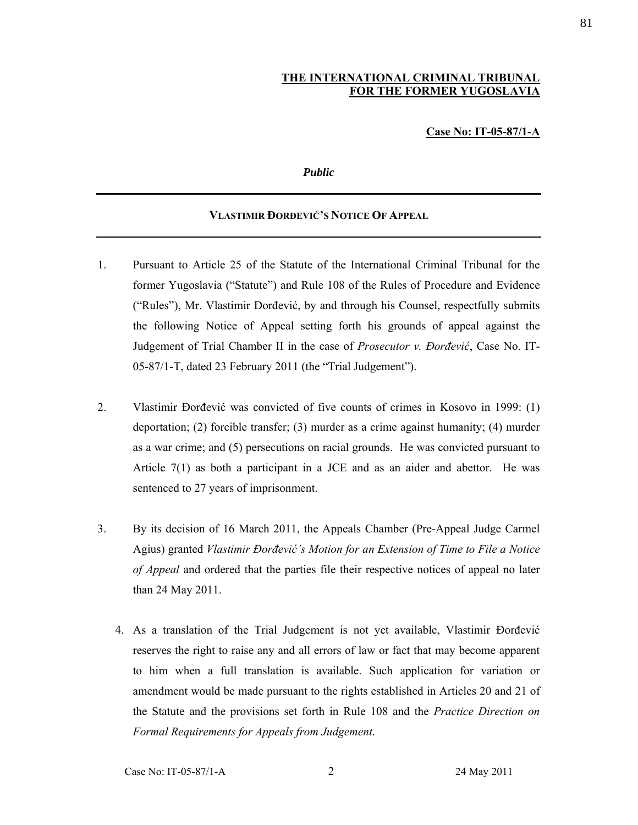# **THE INTERNATIONAL CRIMINAL TRIBUNAL FOR THE FORMER YUGOSLAVIA**

### **Case No: IT-05-87/1-A**

#### *Public*

#### **VLASTIMIR ĐORĐEVIĆ'S NOTICE OF APPEAL**

- 1. Pursuant to Article 25 of the Statute of the International Criminal Tribunal for the former Yugoslavia ("Statute") and Rule 108 of the Rules of Procedure and Evidence ("Rules"), Mr. Vlastimir Đorđević, by and through his Counsel, respectfully submits the following Notice of Appeal setting forth his grounds of appeal against the Judgement of Trial Chamber II in the case of *Prosecutor v. Đorđević*, Case No. IT-05-87/1-T, dated 23 February 2011 (the "Trial Judgement").
- 2. Vlastimir Đorđević was convicted of five counts of crimes in Kosovo in 1999: (1) deportation; (2) forcible transfer; (3) murder as a crime against humanity; (4) murder as a war crime; and (5) persecutions on racial grounds. He was convicted pursuant to Article  $7(1)$  as both a participant in a JCE and as an aider and abettor. He was sentenced to 27 years of imprisonment.
- 3. By its decision of 16 March 2011, the Appeals Chamber (Pre-Appeal Judge Carmel Agius) granted *Vlastimir Đorđević's Motion for an Extension of Time to File a Notice of Appeal* and ordered that the parties file their respective notices of appeal no later than 24 May 2011.
	- 4. As a translation of the Trial Judgement is not yet available, Vlastimir Đorđević reserves the right to raise any and all errors of law or fact that may become apparent to him when a full translation is available. Such application for variation or amendment would be made pursuant to the rights established in Articles 20 and 21 of the Statute and the provisions set forth in Rule 108 and the *Practice Direction on Formal Requirements for Appeals from Judgement*.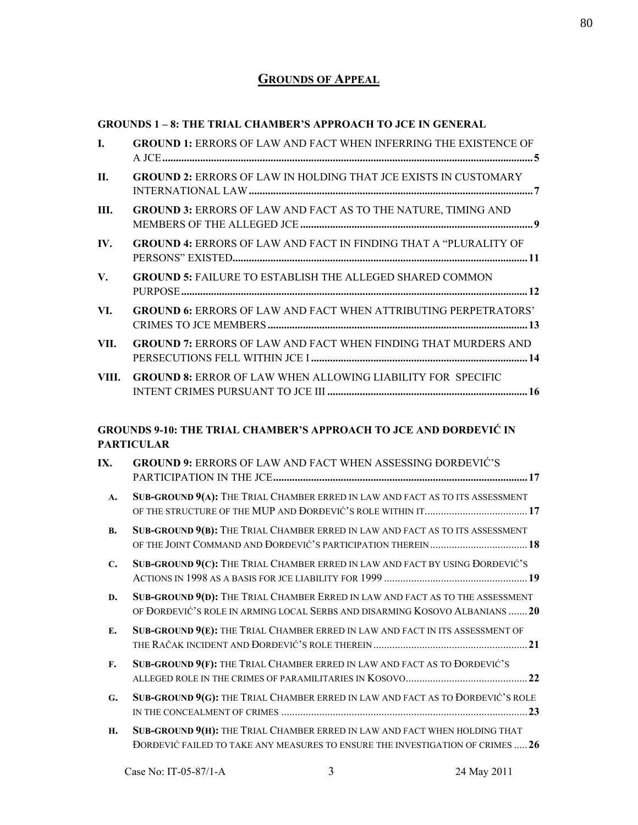# **GROUNDS OF APPEAL**

## **GROUNDS 1 – 8: THE TRIAL CHAMBER'S APPROACH TO JCE IN GENERAL**

| I.             | <b>GROUND 1: ERRORS OF LAW AND FACT WHEN INFERRING THE EXISTENCE OF</b>                                                                                     |
|----------------|-------------------------------------------------------------------------------------------------------------------------------------------------------------|
| II.            | <b>GROUND 2: ERRORS OF LAW IN HOLDING THAT JCE EXISTS IN CUSTOMARY</b>                                                                                      |
| Ш.             | <b>GROUND 3: ERRORS OF LAW AND FACT AS TO THE NATURE, TIMING AND</b>                                                                                        |
| IV.            | <b>GROUND 4: ERRORS OF LAW AND FACT IN FINDING THAT A "PLURALITY OF</b>                                                                                     |
| V.             | <b>GROUND 5: FAILURE TO ESTABLISH THE ALLEGED SHARED COMMON</b>                                                                                             |
| VI.            | <b>GROUND 6: ERRORS OF LAW AND FACT WHEN ATTRIBUTING PERPETRATORS'</b>                                                                                      |
| VII.           | <b>GROUND 7: ERRORS OF LAW AND FACT WHEN FINDING THAT MURDERS AND</b>                                                                                       |
| VIII.          | <b>GROUND 8: ERROR OF LAW WHEN ALLOWING LIABILITY FOR SPECIFIC</b>                                                                                          |
|                | <b>GROUNDS 9-10: THE TRIAL CHAMBER'S APPROACH TO JCE AND DORDEVIC IN</b>                                                                                    |
|                | <b>PARTICULAR</b>                                                                                                                                           |
| IX.            | <b>GROUND 9: ERRORS OF LAW AND FACT WHEN ASSESSING DORDEVIC'S</b>                                                                                           |
| A.             | SUB-GROUND 9(A): THE TRIAL CHAMBER ERRED IN LAW AND FACT AS TO ITS ASSESSMENT                                                                               |
| <b>B.</b>      | SUB-GROUND 9(B): THE TRIAL CHAMBER ERRED IN LAW AND FACT AS TO ITS ASSESSMENT                                                                               |
| $\mathbf{C}$ . | SUB-GROUND 9(C): THE TRIAL CHAMBER ERRED IN LAW AND FACT BY USING ĐORĐEVIĆ'S                                                                                |
| D.             | SUB-GROUND 9(D): THE TRIAL CHAMBER ERRED IN LAW AND FACT AS TO THE ASSESSMENT<br>OF ĐORĐEVIĆ'S ROLE IN ARMING LOCAL SERBS AND DISARMING KOSOVO ALBANIANS 20 |
| E.             | SUB-GROUND 9(E): THE TRIAL CHAMBER ERRED IN LAW AND FACT IN ITS ASSESSMENT OF                                                                               |
| F.             | SUB-GROUND 9(F): THE TRIAL CHAMBER ERRED IN LAW AND FACT AS TO DORDEVIĆ'S                                                                                   |
| G.             | SUB-GROUND 9(G): THE TRIAL CHAMBER ERRED IN LAW AND FACT AS TO DORDEVIĆ'S ROLE                                                                              |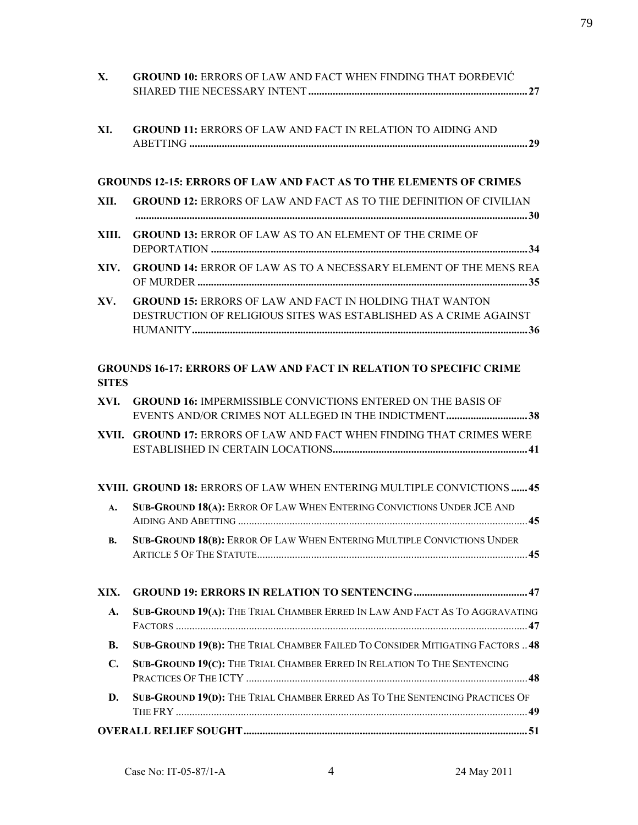| X.             | <b>GROUND 10: ERRORS OF LAW AND FACT WHEN FINDING THAT DORDEVIC</b>                                                                  |
|----------------|--------------------------------------------------------------------------------------------------------------------------------------|
| XI.            | <b>GROUND 11: ERRORS OF LAW AND FACT IN RELATION TO AIDING AND</b>                                                                   |
|                | <b>GROUNDS 12-15: ERRORS OF LAW AND FACT AS TO THE ELEMENTS OF CRIMES</b>                                                            |
| XII.           | <b>GROUND 12: ERRORS OF LAW AND FACT AS TO THE DEFINITION OF CIVILIAN</b>                                                            |
|                |                                                                                                                                      |
| XIII.          | <b>GROUND 13: ERROR OF LAW AS TO AN ELEMENT OF THE CRIME OF</b>                                                                      |
| XIV.           | <b>GROUND 14: ERROR OF LAW AS TO A NECESSARY ELEMENT OF THE MENS REA</b>                                                             |
| XV.            | <b>GROUND 15: ERRORS OF LAW AND FACT IN HOLDING THAT WANTON</b><br>DESTRUCTION OF RELIGIOUS SITES WAS ESTABLISHED AS A CRIME AGAINST |
| <b>SITES</b>   | <b>GROUNDS 16-17: ERRORS OF LAW AND FACT IN RELATION TO SPECIFIC CRIME</b>                                                           |
| XVI.           | <b>GROUND 16: IMPERMISSIBLE CONVICTIONS ENTERED ON THE BASIS OF</b><br><b>EVENTS AND/OR CRIMES NOT ALLEGED IN THE INDICTMENT38</b>   |
|                | XVII. GROUND 17: ERRORS OF LAW AND FACT WHEN FINDING THAT CRIMES WERE                                                                |
|                | XVIII. GROUND 18: ERRORS OF LAW WHEN ENTERING MULTIPLE CONVICTIONS  45                                                               |
| $\mathbf{A}$   | <b>SUB-GROUND 18(A): ERROR OF LAW WHEN ENTERING CONVICTIONS UNDER JCE AND</b>                                                        |
| В.             | SUB-GROUND 18(B): ERROR OF LAW WHEN ENTERING MULTIPLE CONVICTIONS UNDER                                                              |
| XIX.           |                                                                                                                                      |
| $\mathbf{A}$ . | SUB-GROUND 19(A): THE TRIAL CHAMBER ERRED IN LAW AND FACT AS TO AGGRAVATING                                                          |
| <b>B.</b>      | SUB-GROUND 19(B): THE TRIAL CHAMBER FAILED TO CONSIDER MITIGATING FACTORS  48                                                        |
| $\mathbf{C}$ . | SUB-GROUND 19(C): THE TRIAL CHAMBER ERRED IN RELATION TO THE SENTENCING                                                              |
| D.             | SUB-GROUND 19(D): THE TRIAL CHAMBER ERRED AS TO THE SENTENCING PRACTICES OF                                                          |
|                |                                                                                                                                      |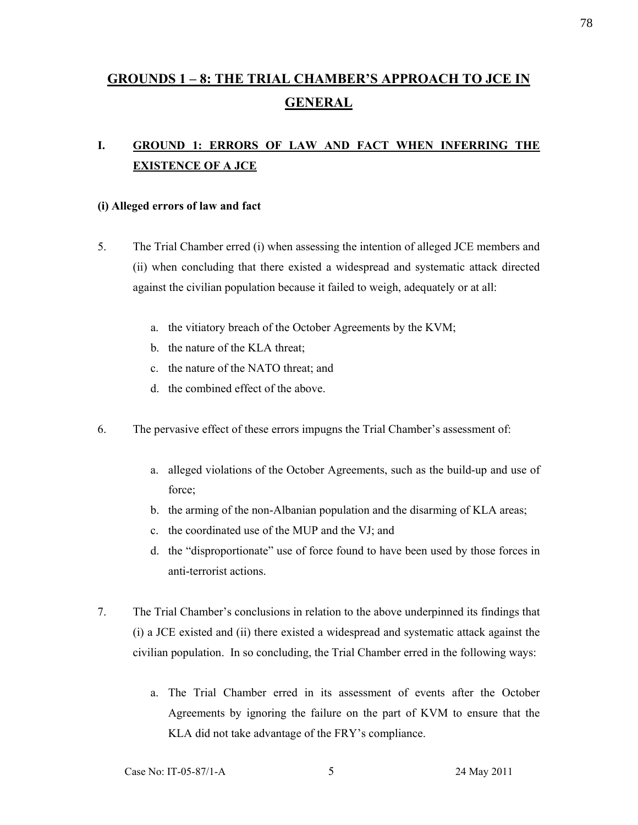# **GROUNDS 1 – 8: THE TRIAL CHAMBER'S APPROACH TO JCE IN GENERAL**

# **I. GROUND 1: ERRORS OF LAW AND FACT WHEN INFERRING THE EXISTENCE OF A JCE**

### **(i) Alleged errors of law and fact**

- 5. The Trial Chamber erred (i) when assessing the intention of alleged JCE members and (ii) when concluding that there existed a widespread and systematic attack directed against the civilian population because it failed to weigh, adequately or at all:
	- a. the vitiatory breach of the October Agreements by the KVM;
	- b. the nature of the KLA threat;
	- c. the nature of the NATO threat; and
	- d. the combined effect of the above.
- 6. The pervasive effect of these errors impugns the Trial Chamber's assessment of:
	- a. alleged violations of the October Agreements, such as the build-up and use of force;
	- b. the arming of the non-Albanian population and the disarming of KLA areas;
	- c. the coordinated use of the MUP and the VJ; and
	- d. the "disproportionate" use of force found to have been used by those forces in anti-terrorist actions.
- 7. The Trial Chamber's conclusions in relation to the above underpinned its findings that (i) a JCE existed and (ii) there existed a widespread and systematic attack against the civilian population. In so concluding, the Trial Chamber erred in the following ways:
	- a. The Trial Chamber erred in its assessment of events after the October Agreements by ignoring the failure on the part of KVM to ensure that the KLA did not take advantage of the FRY's compliance.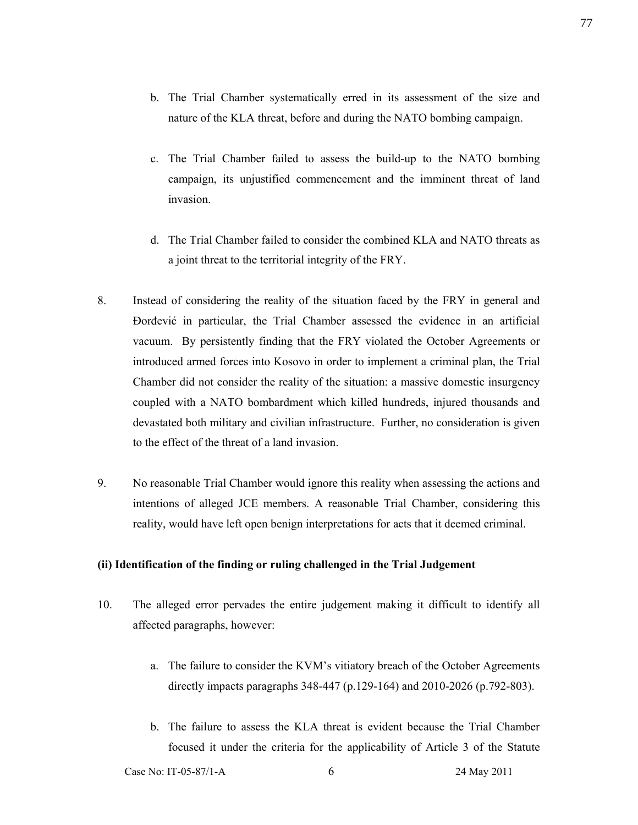- b. The Trial Chamber systematically erred in its assessment of the size and nature of the KLA threat, before and during the NATO bombing campaign.
- c. The Trial Chamber failed to assess the build-up to the NATO bombing campaign, its unjustified commencement and the imminent threat of land invasion.
- d. The Trial Chamber failed to consider the combined KLA and NATO threats as a joint threat to the territorial integrity of the FRY.
- 8. Instead of considering the reality of the situation faced by the FRY in general and Đorđević in particular, the Trial Chamber assessed the evidence in an artificial vacuum. By persistently finding that the FRY violated the October Agreements or introduced armed forces into Kosovo in order to implement a criminal plan, the Trial Chamber did not consider the reality of the situation: a massive domestic insurgency coupled with a NATO bombardment which killed hundreds, injured thousands and devastated both military and civilian infrastructure. Further, no consideration is given to the effect of the threat of a land invasion.
- 9. No reasonable Trial Chamber would ignore this reality when assessing the actions and intentions of alleged JCE members. A reasonable Trial Chamber, considering this reality, would have left open benign interpretations for acts that it deemed criminal.

#### **(ii) Identification of the finding or ruling challenged in the Trial Judgement**

- 10. The alleged error pervades the entire judgement making it difficult to identify all affected paragraphs, however:
	- a. The failure to consider the KVM's vitiatory breach of the October Agreements directly impacts paragraphs 348-447 (p.129-164) and 2010-2026 (p.792-803).
	- b. The failure to assess the KLA threat is evident because the Trial Chamber focused it under the criteria for the applicability of Article 3 of the Statute

Case No: IT-05-87/1-A 6 24 May 2011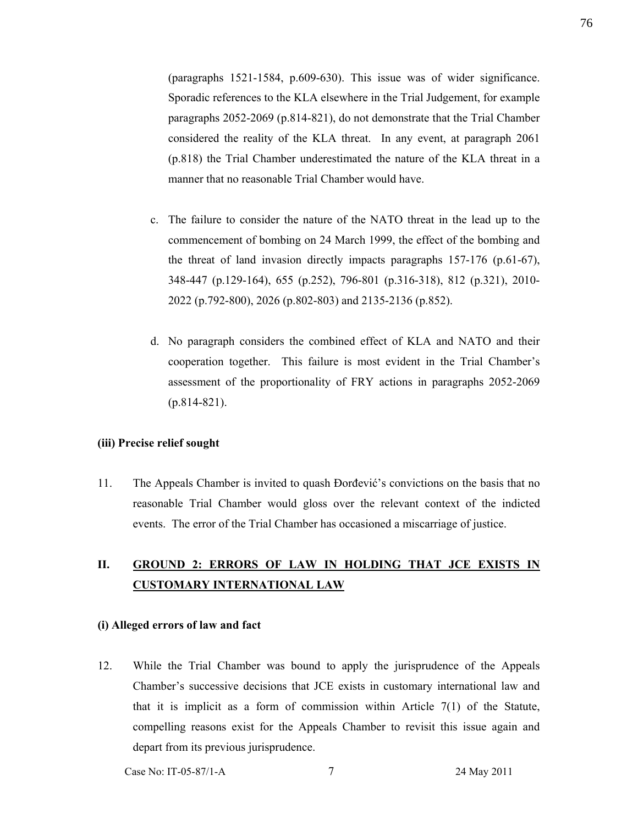(paragraphs 1521-1584, p.609-630). This issue was of wider significance. Sporadic references to the KLA elsewhere in the Trial Judgement, for example paragraphs 2052-2069 (p.814-821), do not demonstrate that the Trial Chamber considered the reality of the KLA threat. In any event, at paragraph 2061 (p.818) the Trial Chamber underestimated the nature of the KLA threat in a manner that no reasonable Trial Chamber would have.

- c. The failure to consider the nature of the NATO threat in the lead up to the commencement of bombing on 24 March 1999, the effect of the bombing and the threat of land invasion directly impacts paragraphs 157-176 (p.61-67), 348-447 (p.129-164), 655 (p.252), 796-801 (p.316-318), 812 (p.321), 2010- 2022 (p.792-800), 2026 (p.802-803) and 2135-2136 (p.852).
- d. No paragraph considers the combined effect of KLA and NATO and their cooperation together. This failure is most evident in the Trial Chamber's assessment of the proportionality of FRY actions in paragraphs 2052-2069 (p.814-821).

### **(iii) Precise relief sought**

11. The Appeals Chamber is invited to quash Đorđević's convictions on the basis that no reasonable Trial Chamber would gloss over the relevant context of the indicted events. The error of the Trial Chamber has occasioned a miscarriage of justice.

# **II. GROUND 2: ERRORS OF LAW IN HOLDING THAT JCE EXISTS IN CUSTOMARY INTERNATIONAL LAW**

#### **(i) Alleged errors of law and fact**

12. While the Trial Chamber was bound to apply the jurisprudence of the Appeals Chamber's successive decisions that JCE exists in customary international law and that it is implicit as a form of commission within Article 7(1) of the Statute, compelling reasons exist for the Appeals Chamber to revisit this issue again and depart from its previous jurisprudence.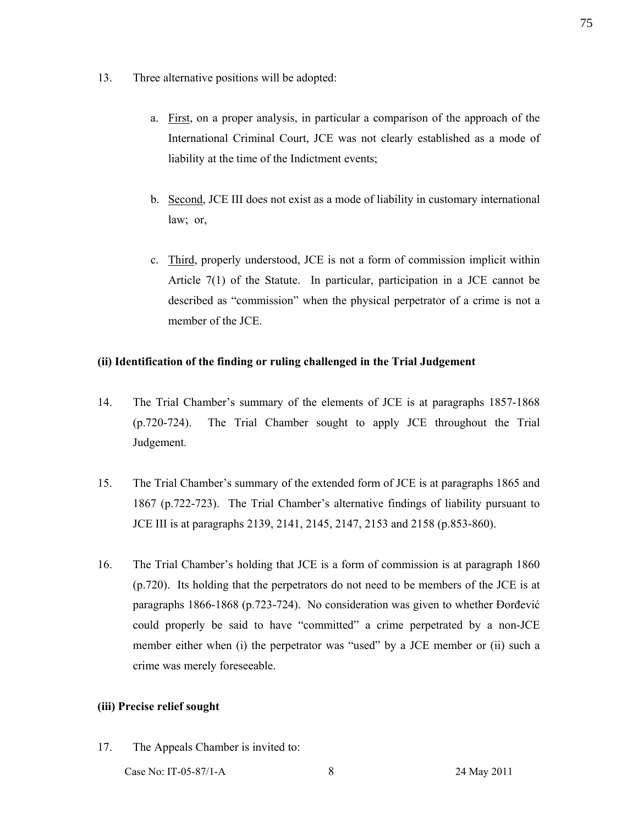- 13. Three alternative positions will be adopted:
	- a. First, on a proper analysis, in particular a comparison of the approach of the International Criminal Court, JCE was not clearly established as a mode of liability at the time of the Indictment events;
	- b. Second, JCE III does not exist as a mode of liability in customary international law; or,
	- c. Third, properly understood, JCE is not a form of commission implicit within Article 7(1) of the Statute. In particular, participation in a JCE cannot be described as "commission" when the physical perpetrator of a crime is not a member of the JCE.

### **(ii) Identification of the finding or ruling challenged in the Trial Judgement**

- 14. The Trial Chamber's summary of the elements of JCE is at paragraphs 1857-1868 (p.720-724). The Trial Chamber sought to apply JCE throughout the Trial Judgement.
- 15. The Trial Chamber's summary of the extended form of JCE is at paragraphs 1865 and 1867 (p.722-723). The Trial Chamber's alternative findings of liability pursuant to JCE III is at paragraphs 2139, 2141, 2145, 2147, 2153 and 2158 (p.853-860).
- 16. The Trial Chamber's holding that JCE is a form of commission is at paragraph 1860 (p.720). Its holding that the perpetrators do not need to be members of the JCE is at paragraphs 1866-1868 (p.723-724). No consideration was given to whether Đorđević could properly be said to have "committed" a crime perpetrated by a non-JCE member either when (i) the perpetrator was "used" by a JCE member or (ii) such a crime was merely foreseeable.

### **(iii) Precise relief sought**

17. The Appeals Chamber is invited to:

Case No: IT-05-87/1-A 8 24 May 2011

75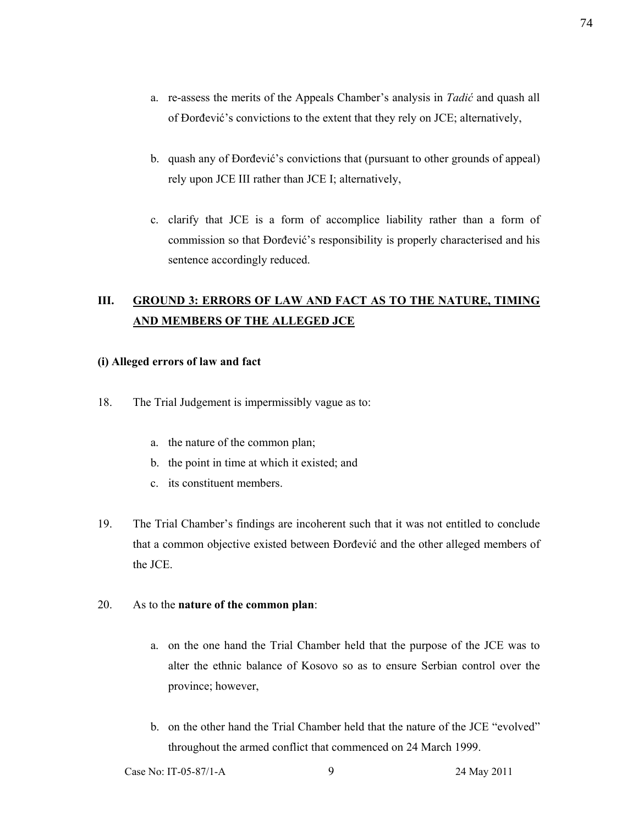- a. re-assess the merits of the Appeals Chamber's analysis in *Tadić* and quash all of Đorđević's convictions to the extent that they rely on JCE; alternatively,
- b. quash any of Đorđević's convictions that (pursuant to other grounds of appeal) rely upon JCE III rather than JCE I; alternatively,
- c. clarify that JCE is a form of accomplice liability rather than a form of commission so that Đorđević's responsibility is properly characterised and his sentence accordingly reduced.

# **III. GROUND 3: ERRORS OF LAW AND FACT AS TO THE NATURE, TIMING AND MEMBERS OF THE ALLEGED JCE**

### **(i) Alleged errors of law and fact**

- 18. The Trial Judgement is impermissibly vague as to:
	- a. the nature of the common plan;
	- b. the point in time at which it existed; and
	- c. its constituent members.
- 19. The Trial Chamber's findings are incoherent such that it was not entitled to conclude that a common objective existed between Đorđević and the other alleged members of the JCE.

### 20. As to the **nature of the common plan**:

- a. on the one hand the Trial Chamber held that the purpose of the JCE was to alter the ethnic balance of Kosovo so as to ensure Serbian control over the province; however,
- b. on the other hand the Trial Chamber held that the nature of the JCE "evolved" throughout the armed conflict that commenced on 24 March 1999.

Case No: IT-05-87/1-A 9 24 May 2011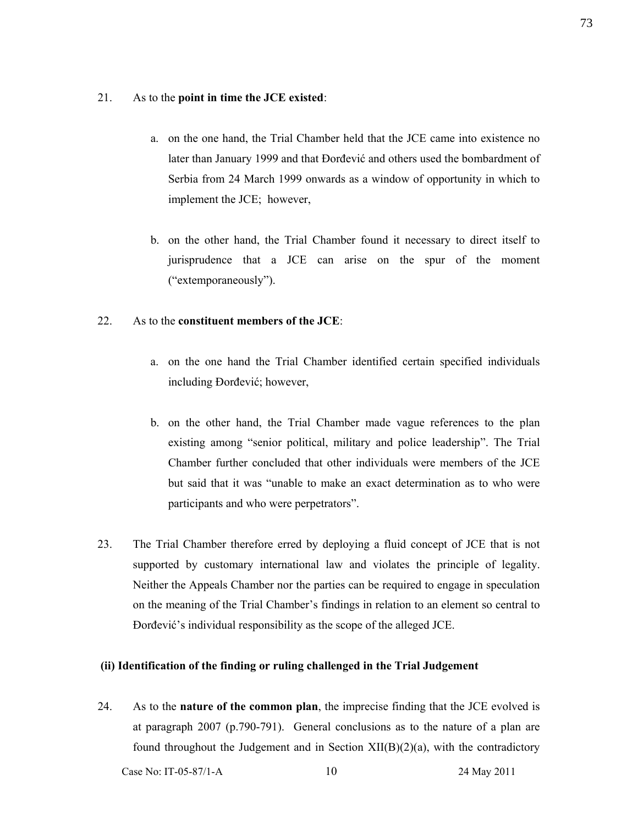### 21. As to the **point in time the JCE existed**:

- a. on the one hand, the Trial Chamber held that the JCE came into existence no later than January 1999 and that Đorđević and others used the bombardment of Serbia from 24 March 1999 onwards as a window of opportunity in which to implement the JCE; however,
- b. on the other hand, the Trial Chamber found it necessary to direct itself to jurisprudence that a JCE can arise on the spur of the moment ("extemporaneously").

## 22. As to the **constituent members of the JCE**:

- a. on the one hand the Trial Chamber identified certain specified individuals including Đorđević; however,
- b. on the other hand, the Trial Chamber made vague references to the plan existing among "senior political, military and police leadership". The Trial Chamber further concluded that other individuals were members of the JCE but said that it was "unable to make an exact determination as to who were participants and who were perpetrators".
- 23. The Trial Chamber therefore erred by deploying a fluid concept of JCE that is not supported by customary international law and violates the principle of legality. Neither the Appeals Chamber nor the parties can be required to engage in speculation on the meaning of the Trial Chamber's findings in relation to an element so central to Đorđević's individual responsibility as the scope of the alleged JCE.

### **(ii) Identification of the finding or ruling challenged in the Trial Judgement**

24. As to the **nature of the common plan**, the imprecise finding that the JCE evolved is at paragraph 2007 (p.790-791). General conclusions as to the nature of a plan are found throughout the Judgement and in Section  $XII(B)(2)(a)$ , with the contradictory

Case No: IT-05-87/1-A 10 24 May 2011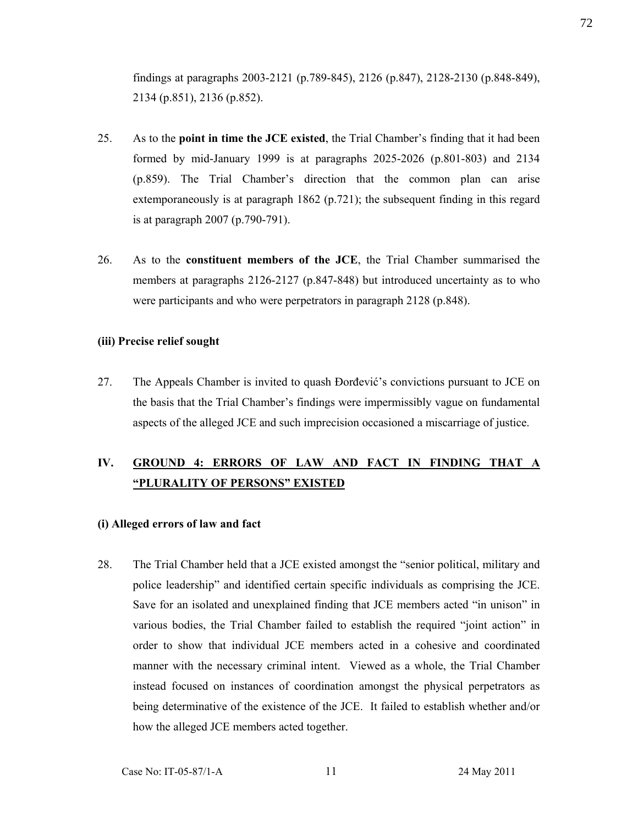findings at paragraphs 2003-2121 (p.789-845), 2126 (p.847), 2128-2130 (p.848-849), 2134 (p.851), 2136 (p.852).

- 25. As to the **point in time the JCE existed**, the Trial Chamber's finding that it had been formed by mid-January 1999 is at paragraphs 2025-2026 (p.801-803) and 2134 (p.859). The Trial Chamber's direction that the common plan can arise extemporaneously is at paragraph 1862 (p.721); the subsequent finding in this regard is at paragraph 2007 (p.790-791).
- 26. As to the **constituent members of the JCE**, the Trial Chamber summarised the members at paragraphs 2126-2127 (p.847-848) but introduced uncertainty as to who were participants and who were perpetrators in paragraph 2128 (p.848).

### **(iii) Precise relief sought**

27. The Appeals Chamber is invited to quash Đorđević's convictions pursuant to JCE on the basis that the Trial Chamber's findings were impermissibly vague on fundamental aspects of the alleged JCE and such imprecision occasioned a miscarriage of justice.

# **IV. GROUND 4: ERRORS OF LAW AND FACT IN FINDING THAT A "PLURALITY OF PERSONS" EXISTED**

### **(i) Alleged errors of law and fact**

28. The Trial Chamber held that a JCE existed amongst the "senior political, military and police leadership" and identified certain specific individuals as comprising the JCE. Save for an isolated and unexplained finding that JCE members acted "in unison" in various bodies, the Trial Chamber failed to establish the required "joint action" in order to show that individual JCE members acted in a cohesive and coordinated manner with the necessary criminal intent. Viewed as a whole, the Trial Chamber instead focused on instances of coordination amongst the physical perpetrators as being determinative of the existence of the JCE. It failed to establish whether and/or how the alleged JCE members acted together.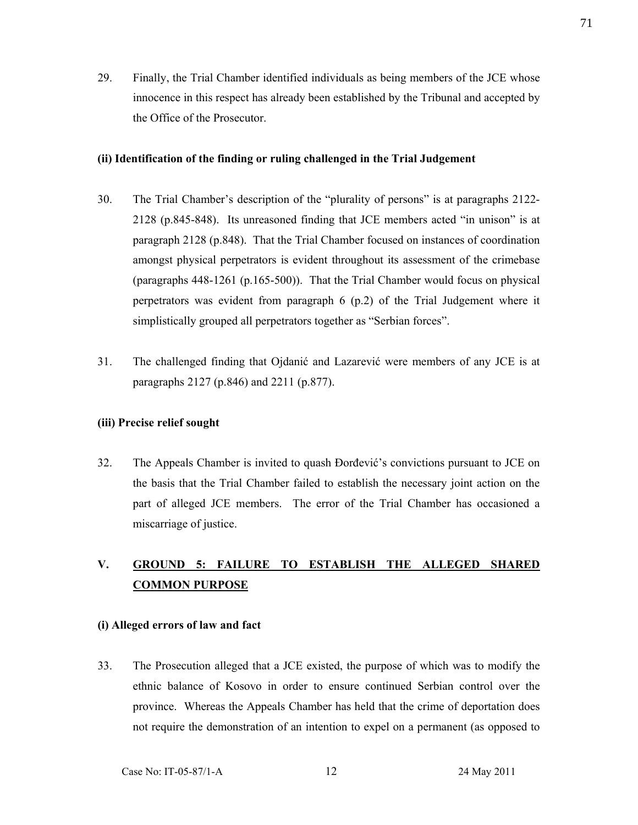29. Finally, the Trial Chamber identified individuals as being members of the JCE whose innocence in this respect has already been established by the Tribunal and accepted by the Office of the Prosecutor.

### **(ii) Identification of the finding or ruling challenged in the Trial Judgement**

- 30. The Trial Chamber's description of the "plurality of persons" is at paragraphs 2122- 2128 (p.845-848). Its unreasoned finding that JCE members acted "in unison" is at paragraph 2128 (p.848). That the Trial Chamber focused on instances of coordination amongst physical perpetrators is evident throughout its assessment of the crimebase (paragraphs 448-1261 (p.165-500)). That the Trial Chamber would focus on physical perpetrators was evident from paragraph 6 (p.2) of the Trial Judgement where it simplistically grouped all perpetrators together as "Serbian forces".
- 31. The challenged finding that Ojdanić and Lazarević were members of any JCE is at paragraphs 2127 (p.846) and 2211 (p.877).

### **(iii) Precise relief sought**

32. The Appeals Chamber is invited to quash Đorđević's convictions pursuant to JCE on the basis that the Trial Chamber failed to establish the necessary joint action on the part of alleged JCE members. The error of the Trial Chamber has occasioned a miscarriage of justice.

# **V. GROUND 5: FAILURE TO ESTABLISH THE ALLEGED SHARED COMMON PURPOSE**

### **(i) Alleged errors of law and fact**

33. The Prosecution alleged that a JCE existed, the purpose of which was to modify the ethnic balance of Kosovo in order to ensure continued Serbian control over the province. Whereas the Appeals Chamber has held that the crime of deportation does not require the demonstration of an intention to expel on a permanent (as opposed to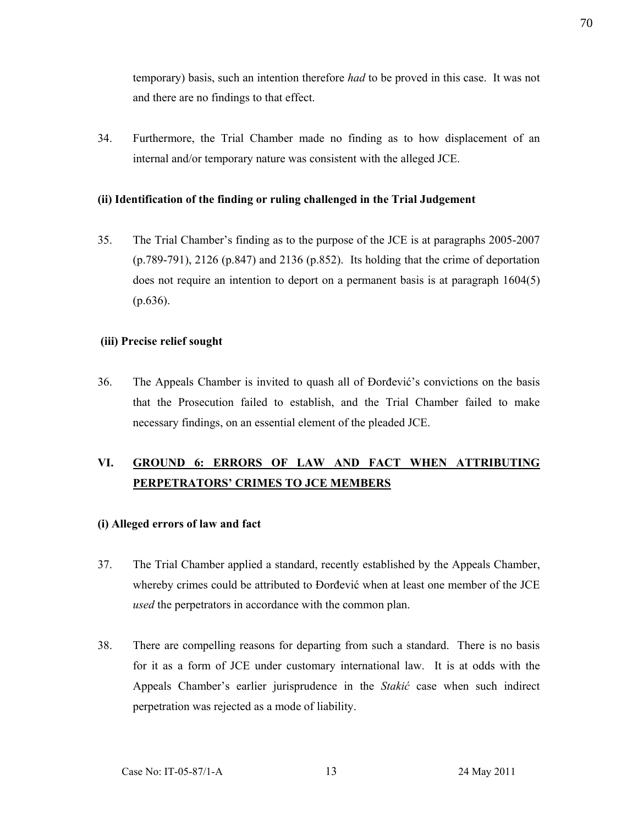temporary) basis, such an intention therefore *had* to be proved in this case. It was not and there are no findings to that effect.

34. Furthermore, the Trial Chamber made no finding as to how displacement of an internal and/or temporary nature was consistent with the alleged JCE.

### **(ii) Identification of the finding or ruling challenged in the Trial Judgement**

35. The Trial Chamber's finding as to the purpose of the JCE is at paragraphs 2005-2007 (p.789-791), 2126 (p.847) and 2136 (p.852). Its holding that the crime of deportation does not require an intention to deport on a permanent basis is at paragraph 1604(5) (p.636).

## **(iii) Precise relief sought**

36. The Appeals Chamber is invited to quash all of Đorđević's convictions on the basis that the Prosecution failed to establish, and the Trial Chamber failed to make necessary findings, on an essential element of the pleaded JCE.

# **VI. GROUND 6: ERRORS OF LAW AND FACT WHEN ATTRIBUTING PERPETRATORS' CRIMES TO JCE MEMBERS**

# **(i) Alleged errors of law and fact**

- 37. The Trial Chamber applied a standard, recently established by the Appeals Chamber, whereby crimes could be attributed to Đorđević when at least one member of the JCE *used* the perpetrators in accordance with the common plan.
- 38. There are compelling reasons for departing from such a standard. There is no basis for it as a form of JCE under customary international law. It is at odds with the Appeals Chamber's earlier jurisprudence in the *Stakić* case when such indirect perpetration was rejected as a mode of liability.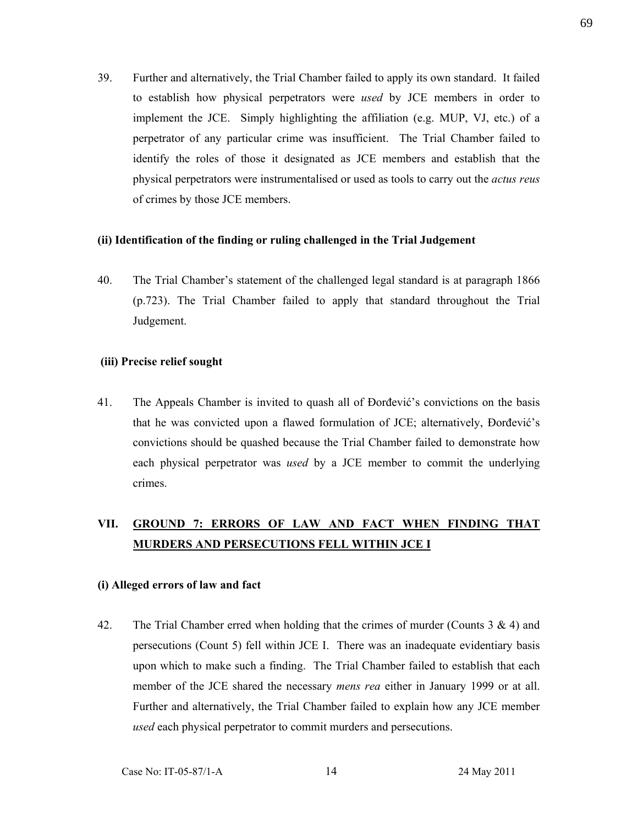39. Further and alternatively, the Trial Chamber failed to apply its own standard. It failed to establish how physical perpetrators were *used* by JCE members in order to implement the JCE. Simply highlighting the affiliation (e.g. MUP, VJ, etc.) of a perpetrator of any particular crime was insufficient. The Trial Chamber failed to identify the roles of those it designated as JCE members and establish that the physical perpetrators were instrumentalised or used as tools to carry out the *actus reus* of crimes by those JCE members.

### **(ii) Identification of the finding or ruling challenged in the Trial Judgement**

40. The Trial Chamber's statement of the challenged legal standard is at paragraph 1866 (p.723). The Trial Chamber failed to apply that standard throughout the Trial Judgement.

### **(iii) Precise relief sought**

41. The Appeals Chamber is invited to quash all of Đorđević's convictions on the basis that he was convicted upon a flawed formulation of JCE; alternatively, Đorđević's convictions should be quashed because the Trial Chamber failed to demonstrate how each physical perpetrator was *used* by a JCE member to commit the underlying crimes.

# **VII. GROUND 7: ERRORS OF LAW AND FACT WHEN FINDING THAT MURDERS AND PERSECUTIONS FELL WITHIN JCE I**

### **(i) Alleged errors of law and fact**

42. The Trial Chamber erred when holding that the crimes of murder (Counts  $3 \& 4$ ) and persecutions (Count 5) fell within JCE I. There was an inadequate evidentiary basis upon which to make such a finding. The Trial Chamber failed to establish that each member of the JCE shared the necessary *mens rea* either in January 1999 or at all. Further and alternatively, the Trial Chamber failed to explain how any JCE member *used* each physical perpetrator to commit murders and persecutions.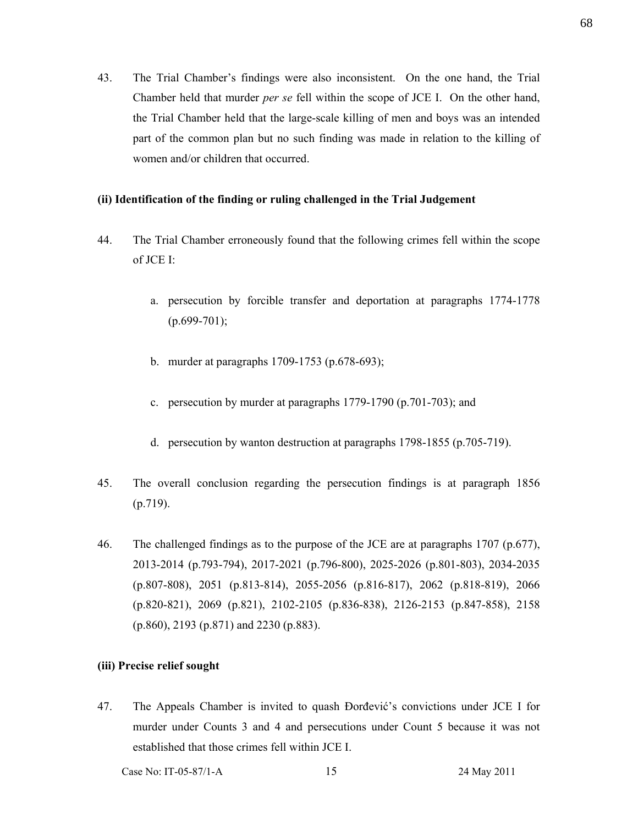43. The Trial Chamber's findings were also inconsistent. On the one hand, the Trial Chamber held that murder *per se* fell within the scope of JCE I. On the other hand, the Trial Chamber held that the large-scale killing of men and boys was an intended part of the common plan but no such finding was made in relation to the killing of women and/or children that occurred.

### **(ii) Identification of the finding or ruling challenged in the Trial Judgement**

- 44. The Trial Chamber erroneously found that the following crimes fell within the scope of JCE I:
	- a. persecution by forcible transfer and deportation at paragraphs 1774-1778  $(p.699-701);$
	- b. murder at paragraphs 1709-1753 (p.678-693);
	- c. persecution by murder at paragraphs 1779-1790 (p.701-703); and
	- d. persecution by wanton destruction at paragraphs 1798-1855 (p.705-719).
- 45. The overall conclusion regarding the persecution findings is at paragraph 1856 (p.719).
- 46. The challenged findings as to the purpose of the JCE are at paragraphs 1707 (p.677), 2013-2014 (p.793-794), 2017-2021 (p.796-800), 2025-2026 (p.801-803), 2034-2035 (p.807-808), 2051 (p.813-814), 2055-2056 (p.816-817), 2062 (p.818-819), 2066 (p.820-821), 2069 (p.821), 2102-2105 (p.836-838), 2126-2153 (p.847-858), 2158 (p.860), 2193 (p.871) and 2230 (p.883).

# **(iii) Precise relief sought**

47. The Appeals Chamber is invited to quash Đorđević's convictions under JCE I for murder under Counts 3 and 4 and persecutions under Count 5 because it was not established that those crimes fell within JCE I.

Case No: IT-05-87/1-A 15 24 May 2011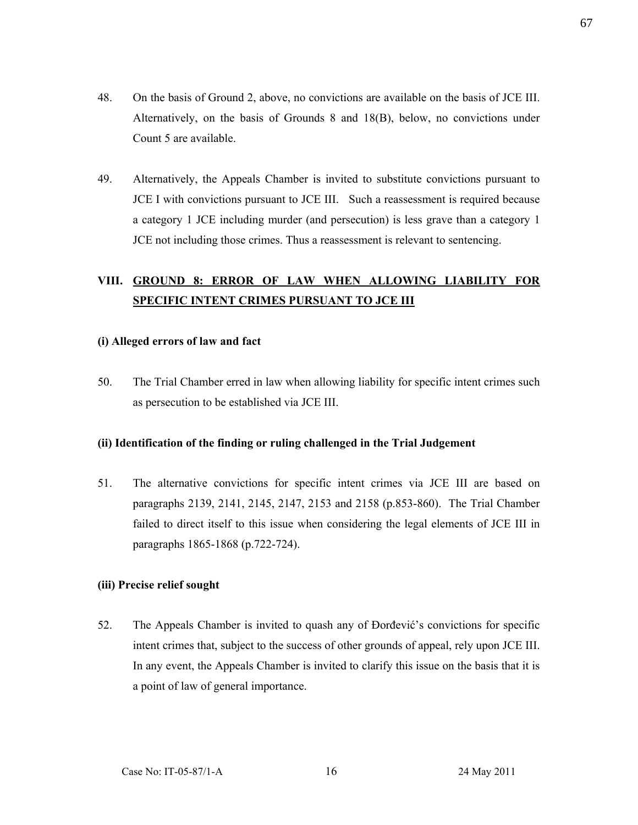- 48. On the basis of Ground 2, above, no convictions are available on the basis of JCE III. Alternatively, on the basis of Grounds 8 and 18(B), below, no convictions under Count 5 are available.
- 49. Alternatively, the Appeals Chamber is invited to substitute convictions pursuant to JCE I with convictions pursuant to JCE III. Such a reassessment is required because a category 1 JCE including murder (and persecution) is less grave than a category 1 JCE not including those crimes. Thus a reassessment is relevant to sentencing.

# **VIII. GROUND 8: ERROR OF LAW WHEN ALLOWING LIABILITY FOR SPECIFIC INTENT CRIMES PURSUANT TO JCE III**

## **(i) Alleged errors of law and fact**

50. The Trial Chamber erred in law when allowing liability for specific intent crimes such as persecution to be established via JCE III.

# **(ii) Identification of the finding or ruling challenged in the Trial Judgement**

51. The alternative convictions for specific intent crimes via JCE III are based on paragraphs 2139, 2141, 2145, 2147, 2153 and 2158 (p.853-860). The Trial Chamber failed to direct itself to this issue when considering the legal elements of JCE III in paragraphs 1865-1868 (p.722-724).

# **(iii) Precise relief sought**

52. The Appeals Chamber is invited to quash any of Đorđević's convictions for specific intent crimes that, subject to the success of other grounds of appeal, rely upon JCE III. In any event, the Appeals Chamber is invited to clarify this issue on the basis that it is a point of law of general importance.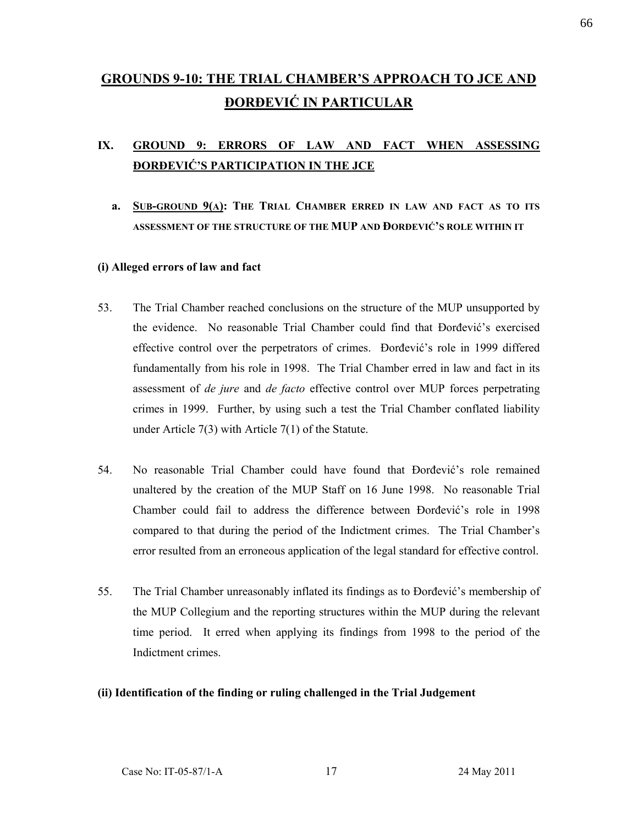# **GROUNDS 9-10: THE TRIAL CHAMBER'S APPROACH TO JCE AND ĐORĐEVIĆ IN PARTICULAR**

# **IX. GROUND 9: ERRORS OF LAW AND FACT WHEN ASSESSING ĐORĐEVIĆ'S PARTICIPATION IN THE JCE**

**a. SUB-GROUND 9(A): THE TRIAL CHAMBER ERRED IN LAW AND FACT AS TO ITS ASSESSMENT OF THE STRUCTURE OF THE MUP AND ĐORĐEVIĆ'S ROLE WITHIN IT**

### **(i) Alleged errors of law and fact**

- 53. The Trial Chamber reached conclusions on the structure of the MUP unsupported by the evidence. No reasonable Trial Chamber could find that Đorđević's exercised effective control over the perpetrators of crimes. Đorđević's role in 1999 differed fundamentally from his role in 1998. The Trial Chamber erred in law and fact in its assessment of *de jure* and *de facto* effective control over MUP forces perpetrating crimes in 1999. Further, by using such a test the Trial Chamber conflated liability under Article 7(3) with Article 7(1) of the Statute.
- 54. No reasonable Trial Chamber could have found that Đorđević's role remained unaltered by the creation of the MUP Staff on 16 June 1998. No reasonable Trial Chamber could fail to address the difference between Đorđević's role in 1998 compared to that during the period of the Indictment crimes. The Trial Chamber's error resulted from an erroneous application of the legal standard for effective control.
- 55. The Trial Chamber unreasonably inflated its findings as to Đorđević's membership of the MUP Collegium and the reporting structures within the MUP during the relevant time period. It erred when applying its findings from 1998 to the period of the Indictment crimes.

### **(ii) Identification of the finding or ruling challenged in the Trial Judgement**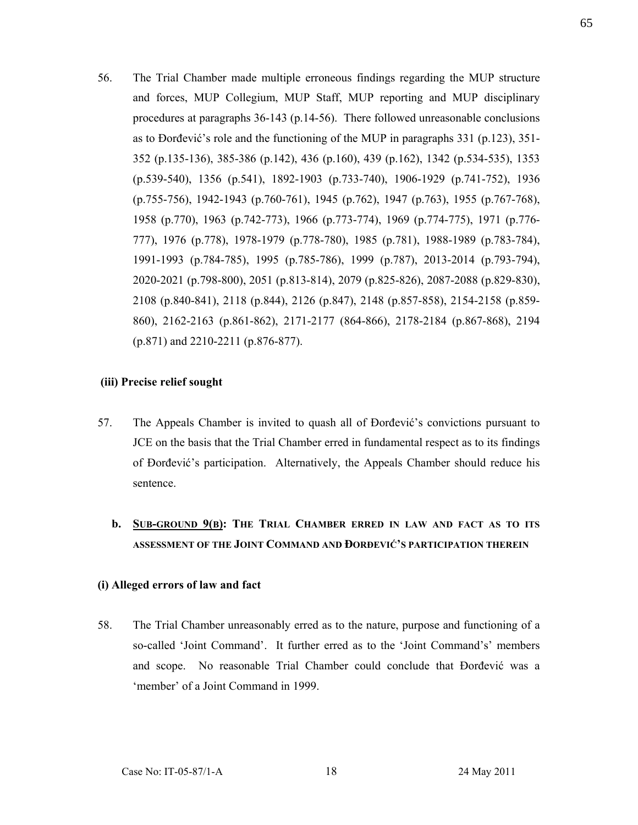56. The Trial Chamber made multiple erroneous findings regarding the MUP structure and forces, MUP Collegium, MUP Staff, MUP reporting and MUP disciplinary procedures at paragraphs 36-143 (p.14-56). There followed unreasonable conclusions as to Đorđević's role and the functioning of the MUP in paragraphs 331 (p.123), 351- 352 (p.135-136), 385-386 (p.142), 436 (p.160), 439 (p.162), 1342 (p.534-535), 1353 (p.539-540), 1356 (p.541), 1892-1903 (p.733-740), 1906-1929 (p.741-752), 1936 (p.755-756), 1942-1943 (p.760-761), 1945 (p.762), 1947 (p.763), 1955 (p.767-768), 1958 (p.770), 1963 (p.742-773), 1966 (p.773-774), 1969 (p.774-775), 1971 (p.776- 777), 1976 (p.778), 1978-1979 (p.778-780), 1985 (p.781), 1988-1989 (p.783-784), 1991-1993 (p.784-785), 1995 (p.785-786), 1999 (p.787), 2013-2014 (p.793-794), 2020-2021 (p.798-800), 2051 (p.813-814), 2079 (p.825-826), 2087-2088 (p.829-830), 2108 (p.840-841), 2118 (p.844), 2126 (p.847), 2148 (p.857-858), 2154-2158 (p.859- 860), 2162-2163 (p.861-862), 2171-2177 (864-866), 2178-2184 (p.867-868), 2194 (p.871) and 2210-2211 (p.876-877).

### **(iii) Precise relief sought**

- 57. The Appeals Chamber is invited to quash all of Đorđević's convictions pursuant to JCE on the basis that the Trial Chamber erred in fundamental respect as to its findings of Đorđević's participation. Alternatively, the Appeals Chamber should reduce his sentence.
	- **b. SUB-GROUND 9(B): THE TRIAL CHAMBER ERRED IN LAW AND FACT AS TO ITS ASSESSMENT OF THE JOINT COMMAND AND ĐORĐEVIĆ'S PARTICIPATION THEREIN**

### **(i) Alleged errors of law and fact**

58. The Trial Chamber unreasonably erred as to the nature, purpose and functioning of a so-called 'Joint Command'. It further erred as to the 'Joint Command's' members and scope. No reasonable Trial Chamber could conclude that Đorđević was a 'member' of a Joint Command in 1999.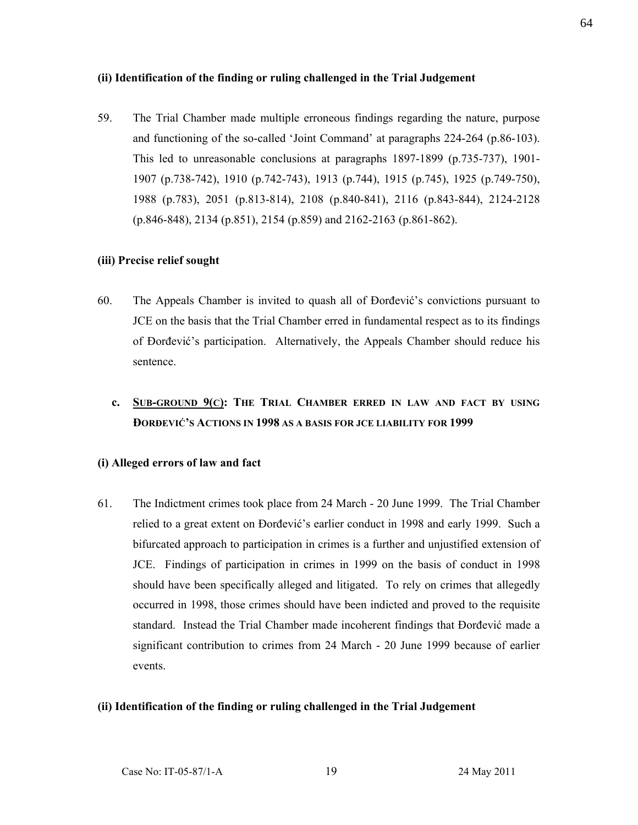### **(ii) Identification of the finding or ruling challenged in the Trial Judgement**

59. The Trial Chamber made multiple erroneous findings regarding the nature, purpose and functioning of the so-called 'Joint Command' at paragraphs 224-264 (p.86-103). This led to unreasonable conclusions at paragraphs 1897-1899 (p.735-737), 1901- 1907 (p.738-742), 1910 (p.742-743), 1913 (p.744), 1915 (p.745), 1925 (p.749-750), 1988 (p.783), 2051 (p.813-814), 2108 (p.840-841), 2116 (p.843-844), 2124-2128 (p.846-848), 2134 (p.851), 2154 (p.859) and 2162-2163 (p.861-862).

### **(iii) Precise relief sought**

- 60. The Appeals Chamber is invited to quash all of Đorđević's convictions pursuant to JCE on the basis that the Trial Chamber erred in fundamental respect as to its findings of Đorđević's participation. Alternatively, the Appeals Chamber should reduce his sentence.
	- **c. SUB-GROUND 9(C): THE TRIAL CHAMBER ERRED IN LAW AND FACT BY USING ĐORĐEVIĆ'S ACTIONS IN 1998 AS A BASIS FOR JCE LIABILITY FOR 1999**

#### **(i) Alleged errors of law and fact**

61. The Indictment crimes took place from 24 March - 20 June 1999. The Trial Chamber relied to a great extent on Đorđević's earlier conduct in 1998 and early 1999. Such a bifurcated approach to participation in crimes is a further and unjustified extension of JCE. Findings of participation in crimes in 1999 on the basis of conduct in 1998 should have been specifically alleged and litigated. To rely on crimes that allegedly occurred in 1998, those crimes should have been indicted and proved to the requisite standard. Instead the Trial Chamber made incoherent findings that Đorđević made a significant contribution to crimes from 24 March - 20 June 1999 because of earlier events.

#### **(ii) Identification of the finding or ruling challenged in the Trial Judgement**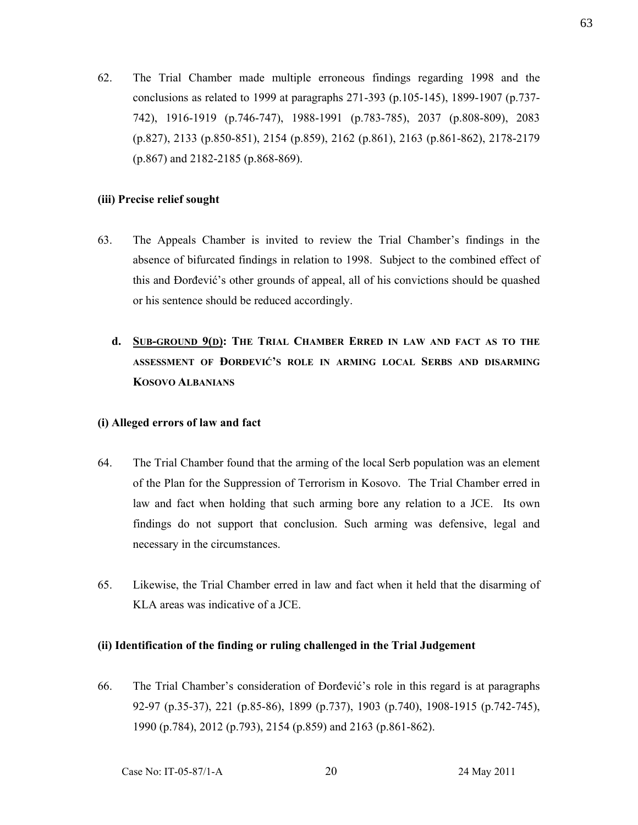62. The Trial Chamber made multiple erroneous findings regarding 1998 and the conclusions as related to 1999 at paragraphs 271-393 (p.105-145), 1899-1907 (p.737- 742), 1916-1919 (p.746-747), 1988-1991 (p.783-785), 2037 (p.808-809), 2083 (p.827), 2133 (p.850-851), 2154 (p.859), 2162 (p.861), 2163 (p.861-862), 2178-2179 (p.867) and 2182-2185 (p.868-869).

## **(iii) Precise relief sought**

- 63. The Appeals Chamber is invited to review the Trial Chamber's findings in the absence of bifurcated findings in relation to 1998. Subject to the combined effect of this and Đorđević's other grounds of appeal, all of his convictions should be quashed or his sentence should be reduced accordingly.
	- **d. SUB-GROUND 9(D): THE TRIAL CHAMBER ERRED IN LAW AND FACT AS TO THE ASSESSMENT OF ĐORĐEVIĆ'S ROLE IN ARMING LOCAL SERBS AND DISARMING KOSOVO ALBANIANS**

### **(i) Alleged errors of law and fact**

- 64. The Trial Chamber found that the arming of the local Serb population was an element of the Plan for the Suppression of Terrorism in Kosovo. The Trial Chamber erred in law and fact when holding that such arming bore any relation to a JCE. Its own findings do not support that conclusion. Such arming was defensive, legal and necessary in the circumstances.
- 65. Likewise, the Trial Chamber erred in law and fact when it held that the disarming of KLA areas was indicative of a JCE.

# **(ii) Identification of the finding or ruling challenged in the Trial Judgement**

66. The Trial Chamber's consideration of Đorđević's role in this regard is at paragraphs 92-97 (p.35-37), 221 (p.85-86), 1899 (p.737), 1903 (p.740), 1908-1915 (p.742-745), 1990 (p.784), 2012 (p.793), 2154 (p.859) and 2163 (p.861-862).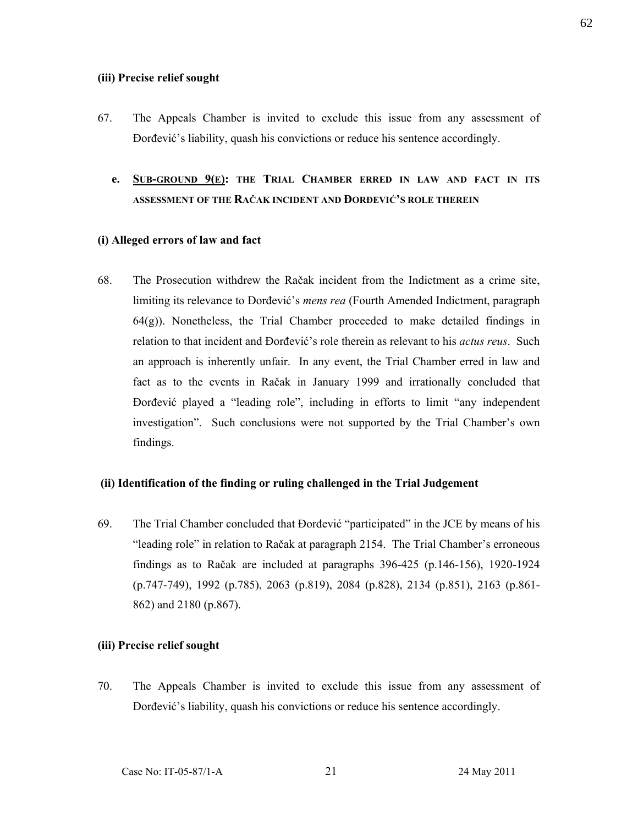#### **(iii) Precise relief sought**

- 67. The Appeals Chamber is invited to exclude this issue from any assessment of Đorđević's liability, quash his convictions or reduce his sentence accordingly.
	- **e. SUB-GROUND 9(E): THE TRIAL CHAMBER ERRED IN LAW AND FACT IN ITS ASSESSMENT OF THE RAČAK INCIDENT AND ĐORĐEVIĆ'S ROLE THEREIN**

### **(i) Alleged errors of law and fact**

68. The Prosecution withdrew the Račak incident from the Indictment as a crime site, limiting its relevance to Đorđević's *mens rea* (Fourth Amended Indictment, paragraph  $64(g)$ ). Nonetheless, the Trial Chamber proceeded to make detailed findings in relation to that incident and Đorđević's role therein as relevant to his *actus reus*. Such an approach is inherently unfair. In any event, the Trial Chamber erred in law and fact as to the events in Račak in January 1999 and irrationally concluded that Đorđević played a "leading role", including in efforts to limit "any independent investigation". Such conclusions were not supported by the Trial Chamber's own findings.

### **(ii) Identification of the finding or ruling challenged in the Trial Judgement**

69. The Trial Chamber concluded that Đorđević "participated" in the JCE by means of his "leading role" in relation to Račak at paragraph 2154. The Trial Chamber's erroneous findings as to Račak are included at paragraphs 396-425 (p.146-156), 1920-1924 (p.747-749), 1992 (p.785), 2063 (p.819), 2084 (p.828), 2134 (p.851), 2163 (p.861- 862) and 2180 (p.867).

#### **(iii) Precise relief sought**

70. The Appeals Chamber is invited to exclude this issue from any assessment of Đorđević's liability, quash his convictions or reduce his sentence accordingly.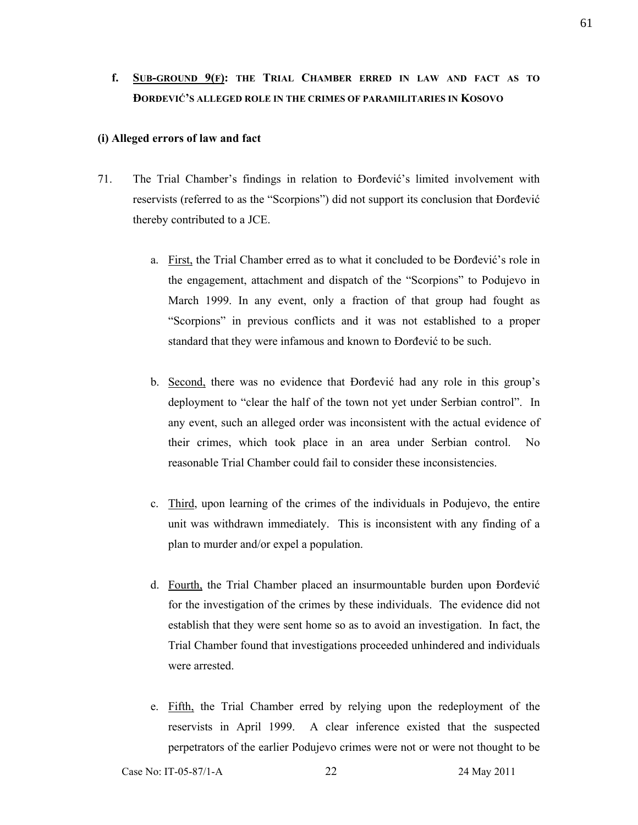# **f. SUB-GROUND 9(F): THE TRIAL CHAMBER ERRED IN LAW AND FACT AS TO ĐORĐEVIĆ'S ALLEGED ROLE IN THE CRIMES OF PARAMILITARIES IN KOSOVO**

### **(i) Alleged errors of law and fact**

- 71. The Trial Chamber's findings in relation to Đorđević's limited involvement with reservists (referred to as the "Scorpions") did not support its conclusion that Đorđević thereby contributed to a JCE.
	- a. First, the Trial Chamber erred as to what it concluded to be Đorđević's role in the engagement, attachment and dispatch of the "Scorpions" to Podujevo in March 1999. In any event, only a fraction of that group had fought as "Scorpions" in previous conflicts and it was not established to a proper standard that they were infamous and known to Đorđević to be such.
	- b. Second, there was no evidence that Đorđević had any role in this group's deployment to "clear the half of the town not yet under Serbian control". In any event, such an alleged order was inconsistent with the actual evidence of their crimes, which took place in an area under Serbian control. No reasonable Trial Chamber could fail to consider these inconsistencies.
	- c. Third, upon learning of the crimes of the individuals in Podujevo, the entire unit was withdrawn immediately. This is inconsistent with any finding of a plan to murder and/or expel a population.
	- d. Fourth, the Trial Chamber placed an insurmountable burden upon Đorđević for the investigation of the crimes by these individuals. The evidence did not establish that they were sent home so as to avoid an investigation. In fact, the Trial Chamber found that investigations proceeded unhindered and individuals were arrested.
	- e. Fifth, the Trial Chamber erred by relying upon the redeployment of the reservists in April 1999. A clear inference existed that the suspected perpetrators of the earlier Podujevo crimes were not or were not thought to be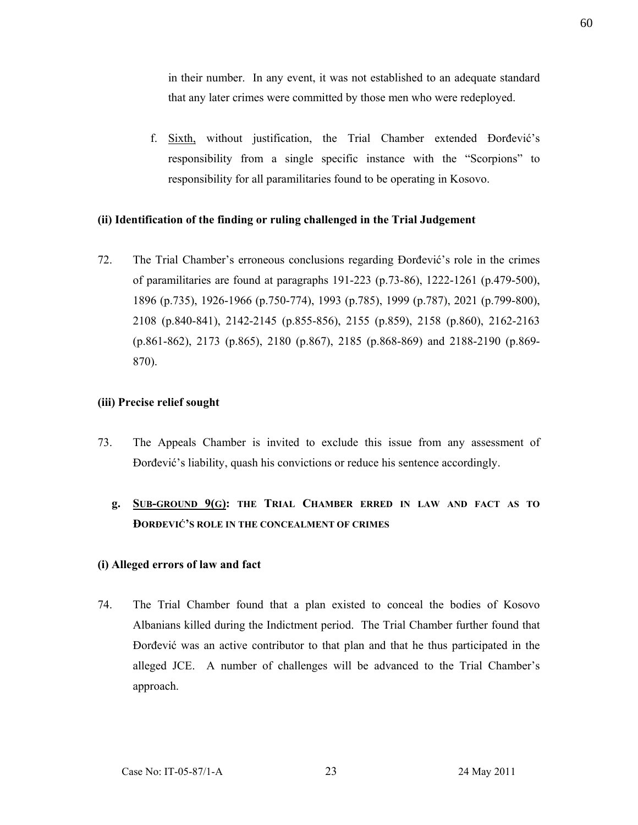in their number. In any event, it was not established to an adequate standard that any later crimes were committed by those men who were redeployed.

f. Sixth, without justification, the Trial Chamber extended Đorđević's responsibility from a single specific instance with the "Scorpions" to responsibility for all paramilitaries found to be operating in Kosovo.

## **(ii) Identification of the finding or ruling challenged in the Trial Judgement**

72. The Trial Chamber's erroneous conclusions regarding Đorđević's role in the crimes of paramilitaries are found at paragraphs 191-223 (p.73-86), 1222-1261 (p.479-500), 1896 (p.735), 1926-1966 (p.750-774), 1993 (p.785), 1999 (p.787), 2021 (p.799-800), 2108 (p.840-841), 2142-2145 (p.855-856), 2155 (p.859), 2158 (p.860), 2162-2163 (p.861-862), 2173 (p.865), 2180 (p.867), 2185 (p.868-869) and 2188-2190 (p.869- 870).

## **(iii) Precise relief sought**

- 73. The Appeals Chamber is invited to exclude this issue from any assessment of Đorđević's liability, quash his convictions or reduce his sentence accordingly.
	- **g. SUB-GROUND 9(G): THE TRIAL CHAMBER ERRED IN LAW AND FACT AS TO ĐORĐEVIĆ'S ROLE IN THE CONCEALMENT OF CRIMES**

# **(i) Alleged errors of law and fact**

74. The Trial Chamber found that a plan existed to conceal the bodies of Kosovo Albanians killed during the Indictment period. The Trial Chamber further found that Đorđević was an active contributor to that plan and that he thus participated in the alleged JCE. A number of challenges will be advanced to the Trial Chamber's approach.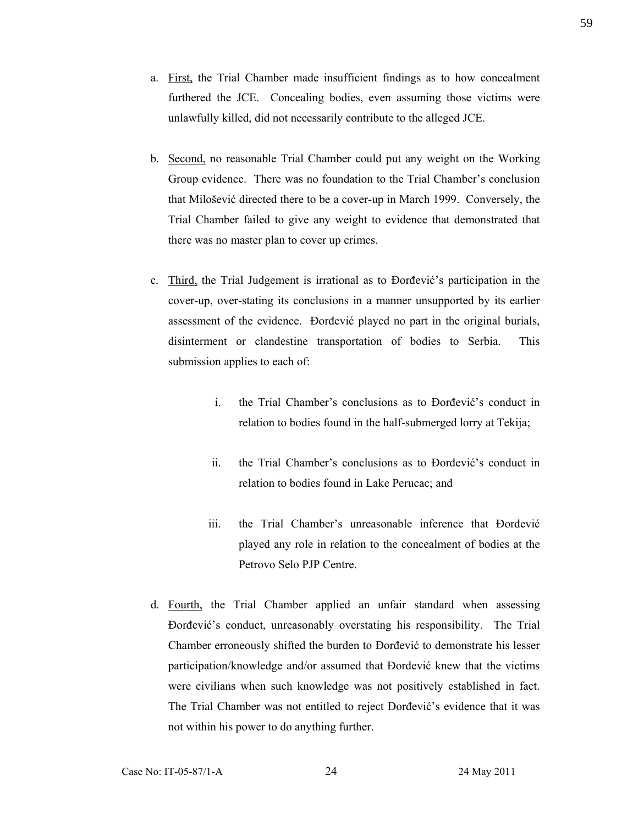- a. First, the Trial Chamber made insufficient findings as to how concealment furthered the JCE. Concealing bodies, even assuming those victims were unlawfully killed, did not necessarily contribute to the alleged JCE.
- b. Second, no reasonable Trial Chamber could put any weight on the Working Group evidence. There was no foundation to the Trial Chamber's conclusion that Milošević directed there to be a cover-up in March 1999. Conversely, the Trial Chamber failed to give any weight to evidence that demonstrated that there was no master plan to cover up crimes.
- c. Third, the Trial Judgement is irrational as to Đorđević's participation in the cover-up, over-stating its conclusions in a manner unsupported by its earlier assessment of the evidence. Đorđević played no part in the original burials, disinterment or clandestine transportation of bodies to Serbia. This submission applies to each of:
	- i. the Trial Chamber's conclusions as to Đorđević's conduct in relation to bodies found in the half-submerged lorry at Tekija;
	- ii. the Trial Chamber's conclusions as to Đorđević's conduct in relation to bodies found in Lake Perucac; and
	- iii. the Trial Chamber's unreasonable inference that Đorđević played any role in relation to the concealment of bodies at the Petrovo Selo PJP Centre.
- d. Fourth, the Trial Chamber applied an unfair standard when assessing Đorđević's conduct, unreasonably overstating his responsibility. The Trial Chamber erroneously shifted the burden to Đorđević to demonstrate his lesser participation/knowledge and/or assumed that Đorđević knew that the victims were civilians when such knowledge was not positively established in fact. The Trial Chamber was not entitled to reject Đorđević's evidence that it was not within his power to do anything further.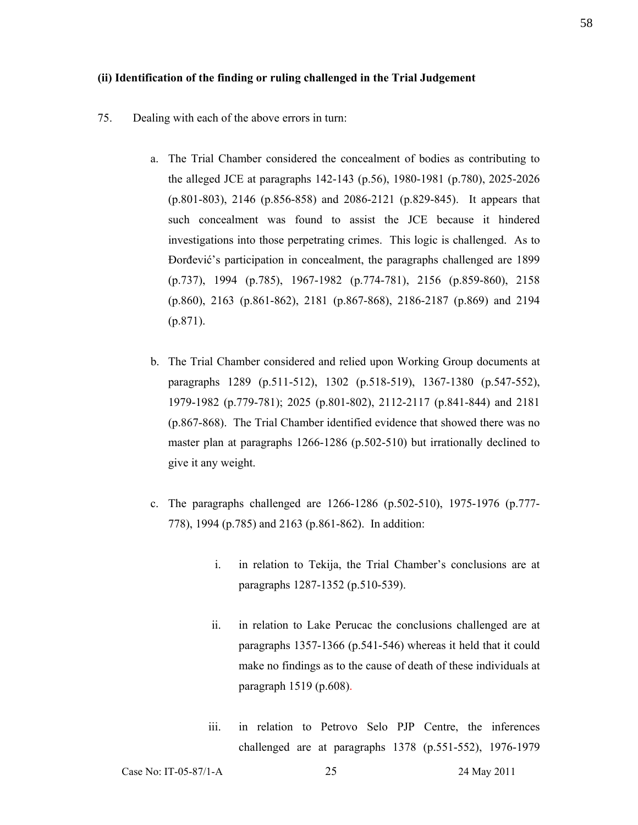#### **(ii) Identification of the finding or ruling challenged in the Trial Judgement**

- 75. Dealing with each of the above errors in turn:
	- a. The Trial Chamber considered the concealment of bodies as contributing to the alleged JCE at paragraphs 142-143 (p.56), 1980-1981 (p.780), 2025-2026 (p.801-803), 2146 (p.856-858) and 2086-2121 (p.829-845). It appears that such concealment was found to assist the JCE because it hindered investigations into those perpetrating crimes. This logic is challenged. As to Đorđević's participation in concealment, the paragraphs challenged are 1899 (p.737), 1994 (p.785), 1967-1982 (p.774-781), 2156 (p.859-860), 2158 (p.860), 2163 (p.861-862), 2181 (p.867-868), 2186-2187 (p.869) and 2194 (p.871).
	- b. The Trial Chamber considered and relied upon Working Group documents at paragraphs 1289 (p.511-512), 1302 (p.518-519), 1367-1380 (p.547-552), 1979-1982 (p.779-781); 2025 (p.801-802), 2112-2117 (p.841-844) and 2181 (p.867-868). The Trial Chamber identified evidence that showed there was no master plan at paragraphs 1266-1286 (p.502-510) but irrationally declined to give it any weight.
	- c. The paragraphs challenged are 1266-1286 (p.502-510), 1975-1976 (p.777- 778), 1994 (p.785) and 2163 (p.861-862). In addition:
		- i. in relation to Tekija, the Trial Chamber's conclusions are at paragraphs 1287-1352 (p.510-539).
		- ii. in relation to Lake Perucac the conclusions challenged are at paragraphs 1357-1366 (p.541-546) whereas it held that it could make no findings as to the cause of death of these individuals at paragraph 1519 (p.608).
		- iii. in relation to Petrovo Selo PJP Centre, the inferences challenged are at paragraphs 1378 (p.551-552), 1976-1979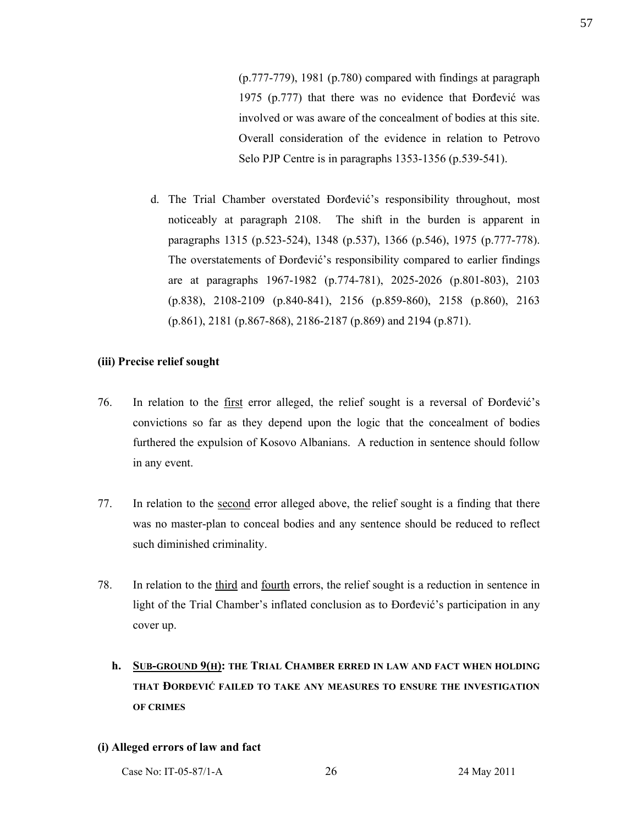(p.777-779), 1981 (p.780) compared with findings at paragraph 1975 (p.777) that there was no evidence that Đorđević was involved or was aware of the concealment of bodies at this site. Overall consideration of the evidence in relation to Petrovo Selo PJP Centre is in paragraphs 1353-1356 (p.539-541).

d. The Trial Chamber overstated Đorđević's responsibility throughout, most noticeably at paragraph 2108. The shift in the burden is apparent in paragraphs 1315 (p.523-524), 1348 (p.537), 1366 (p.546), 1975 (p.777-778). The overstatements of Đorđević's responsibility compared to earlier findings are at paragraphs 1967-1982 (p.774-781), 2025-2026 (p.801-803), 2103 (p.838), 2108-2109 (p.840-841), 2156 (p.859-860), 2158 (p.860), 2163 (p.861), 2181 (p.867-868), 2186-2187 (p.869) and 2194 (p.871).

## **(iii) Precise relief sought**

- 76. In relation to the first error alleged, the relief sought is a reversal of Đorđević's convictions so far as they depend upon the logic that the concealment of bodies furthered the expulsion of Kosovo Albanians. A reduction in sentence should follow in any event.
- 77. In relation to the second error alleged above, the relief sought is a finding that there was no master-plan to conceal bodies and any sentence should be reduced to reflect such diminished criminality.
- 78. In relation to the third and fourth errors, the relief sought is a reduction in sentence in light of the Trial Chamber's inflated conclusion as to Đorđević's participation in any cover up.
	- **h. SUB-GROUND 9(H): THE TRIAL CHAMBER ERRED IN LAW AND FACT WHEN HOLDING THAT ĐORĐEVIĆ FAILED TO TAKE ANY MEASURES TO ENSURE THE INVESTIGATION OF CRIMES**

### **(i) Alleged errors of law and fact**

Case No: IT-05-87/1-A 26 24 May 2011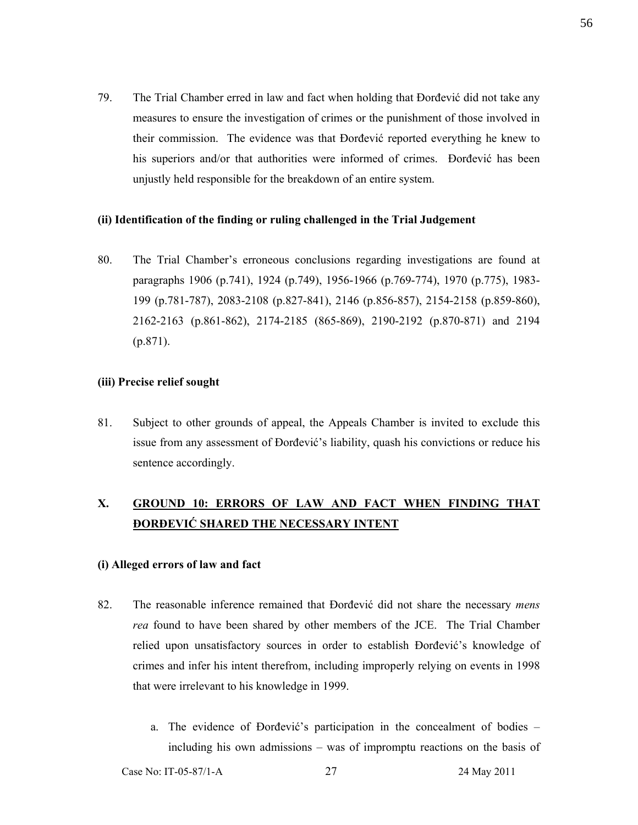79. The Trial Chamber erred in law and fact when holding that Đorđević did not take any measures to ensure the investigation of crimes or the punishment of those involved in their commission. The evidence was that Đorđević reported everything he knew to his superiors and/or that authorities were informed of crimes. Dorđević has been unjustly held responsible for the breakdown of an entire system.

### **(ii) Identification of the finding or ruling challenged in the Trial Judgement**

80. The Trial Chamber's erroneous conclusions regarding investigations are found at paragraphs 1906 (p.741), 1924 (p.749), 1956-1966 (p.769-774), 1970 (p.775), 1983- 199 (p.781-787), 2083-2108 (p.827-841), 2146 (p.856-857), 2154-2158 (p.859-860), 2162-2163 (p.861-862), 2174-2185 (865-869), 2190-2192 (p.870-871) and 2194 (p.871).

### **(iii) Precise relief sought**

81. Subject to other grounds of appeal, the Appeals Chamber is invited to exclude this issue from any assessment of Đorđević's liability, quash his convictions or reduce his sentence accordingly.

# **X. GROUND 10: ERRORS OF LAW AND FACT WHEN FINDING THAT ĐORĐEVIĆ SHARED THE NECESSARY INTENT**

### **(i) Alleged errors of law and fact**

- 82. The reasonable inference remained that Đorđević did not share the necessary *mens rea* found to have been shared by other members of the JCE. The Trial Chamber relied upon unsatisfactory sources in order to establish Đorđević's knowledge of crimes and infer his intent therefrom, including improperly relying on events in 1998 that were irrelevant to his knowledge in 1999.
	- a. The evidence of Đorđević's participation in the concealment of bodies including his own admissions – was of impromptu reactions on the basis of

Case No: IT-05-87/1-A 27 24 May 2011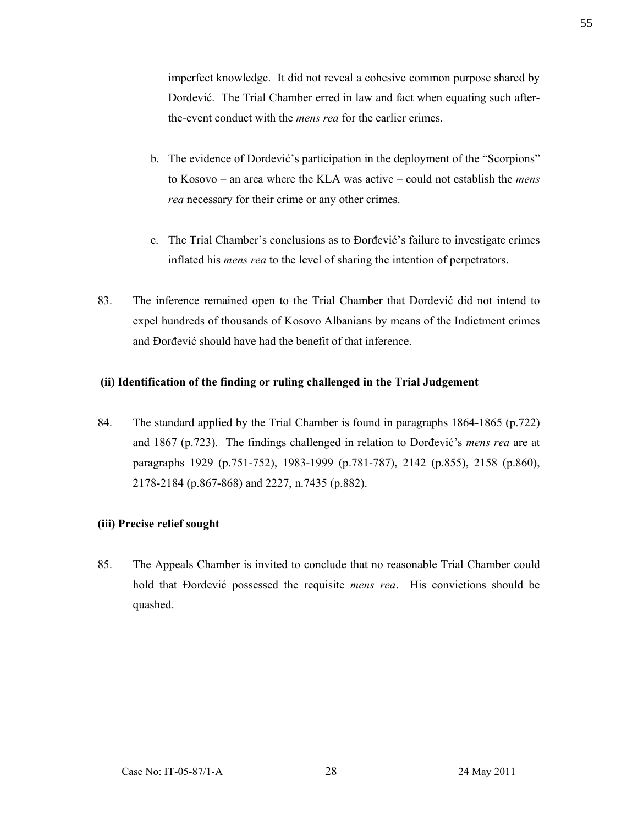imperfect knowledge. It did not reveal a cohesive common purpose shared by Đorđević. The Trial Chamber erred in law and fact when equating such afterthe-event conduct with the *mens rea* for the earlier crimes.

- b. The evidence of Đorđević's participation in the deployment of the "Scorpions" to Kosovo – an area where the KLA was active – could not establish the *mens rea* necessary for their crime or any other crimes.
- c. The Trial Chamber's conclusions as to Đorđević's failure to investigate crimes inflated his *mens rea* to the level of sharing the intention of perpetrators.
- 83. The inference remained open to the Trial Chamber that Đorđević did not intend to expel hundreds of thousands of Kosovo Albanians by means of the Indictment crimes and Đorđević should have had the benefit of that inference.

## **(ii) Identification of the finding or ruling challenged in the Trial Judgement**

84. The standard applied by the Trial Chamber is found in paragraphs 1864-1865 (p.722) and 1867 (p.723). The findings challenged in relation to Đorđević's *mens rea* are at paragraphs 1929 (p.751-752), 1983-1999 (p.781-787), 2142 (p.855), 2158 (p.860), 2178-2184 (p.867-868) and 2227, n.7435 (p.882).

# **(iii) Precise relief sought**

85. The Appeals Chamber is invited to conclude that no reasonable Trial Chamber could hold that Đorđević possessed the requisite *mens rea*. His convictions should be quashed.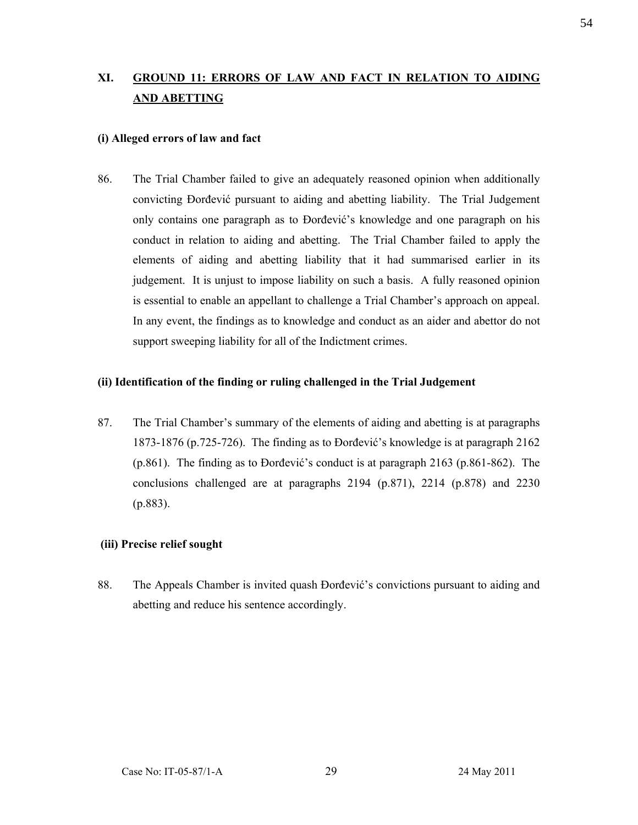# **XI. GROUND 11: ERRORS OF LAW AND FACT IN RELATION TO AIDING AND ABETTING**

### **(i) Alleged errors of law and fact**

86. The Trial Chamber failed to give an adequately reasoned opinion when additionally convicting Đorđević pursuant to aiding and abetting liability. The Trial Judgement only contains one paragraph as to Đorđević's knowledge and one paragraph on his conduct in relation to aiding and abetting. The Trial Chamber failed to apply the elements of aiding and abetting liability that it had summarised earlier in its judgement. It is unjust to impose liability on such a basis. A fully reasoned opinion is essential to enable an appellant to challenge a Trial Chamber's approach on appeal. In any event, the findings as to knowledge and conduct as an aider and abettor do not support sweeping liability for all of the Indictment crimes.

### **(ii) Identification of the finding or ruling challenged in the Trial Judgement**

87. The Trial Chamber's summary of the elements of aiding and abetting is at paragraphs 1873-1876 (p.725-726). The finding as to Đorđević's knowledge is at paragraph 2162 (p.861). The finding as to Đorđević's conduct is at paragraph 2163 (p.861-862). The conclusions challenged are at paragraphs 2194 (p.871), 2214 (p.878) and 2230 (p.883).

### **(iii) Precise relief sought**

88. The Appeals Chamber is invited quash Đorđević's convictions pursuant to aiding and abetting and reduce his sentence accordingly.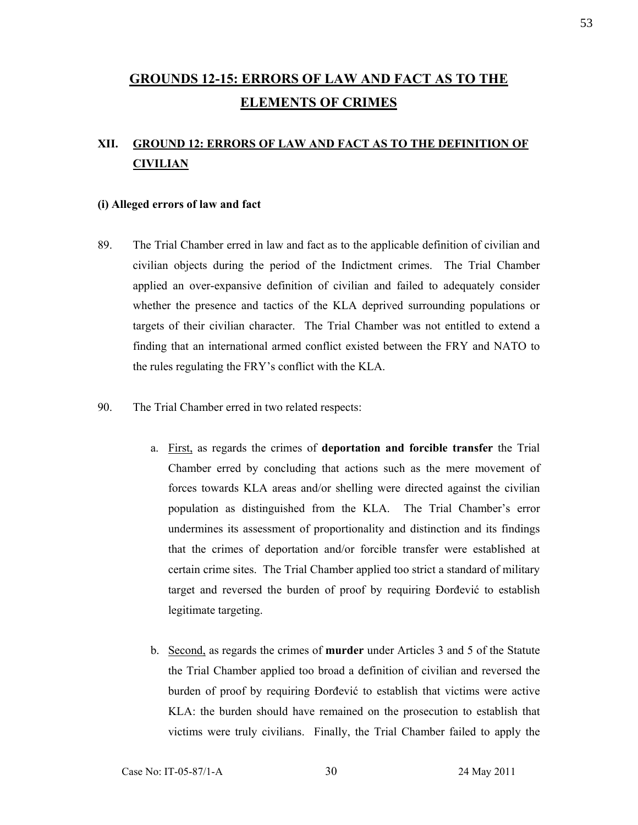# **GROUNDS 12-15: ERRORS OF LAW AND FACT AS TO THE ELEMENTS OF CRIMES**

# **XII. GROUND 12: ERRORS OF LAW AND FACT AS TO THE DEFINITION OF CIVILIAN**

#### **(i) Alleged errors of law and fact**

- 89. The Trial Chamber erred in law and fact as to the applicable definition of civilian and civilian objects during the period of the Indictment crimes. The Trial Chamber applied an over-expansive definition of civilian and failed to adequately consider whether the presence and tactics of the KLA deprived surrounding populations or targets of their civilian character. The Trial Chamber was not entitled to extend a finding that an international armed conflict existed between the FRY and NATO to the rules regulating the FRY's conflict with the KLA.
- 90. The Trial Chamber erred in two related respects:
	- a. First, as regards the crimes of **deportation and forcible transfer** the Trial Chamber erred by concluding that actions such as the mere movement of forces towards KLA areas and/or shelling were directed against the civilian population as distinguished from the KLA. The Trial Chamber's error undermines its assessment of proportionality and distinction and its findings that the crimes of deportation and/or forcible transfer were established at certain crime sites. The Trial Chamber applied too strict a standard of military target and reversed the burden of proof by requiring Đorđević to establish legitimate targeting.
	- b. Second, as regards the crimes of **murder** under Articles 3 and 5 of the Statute the Trial Chamber applied too broad a definition of civilian and reversed the burden of proof by requiring Đorđević to establish that victims were active KLA: the burden should have remained on the prosecution to establish that victims were truly civilians. Finally, the Trial Chamber failed to apply the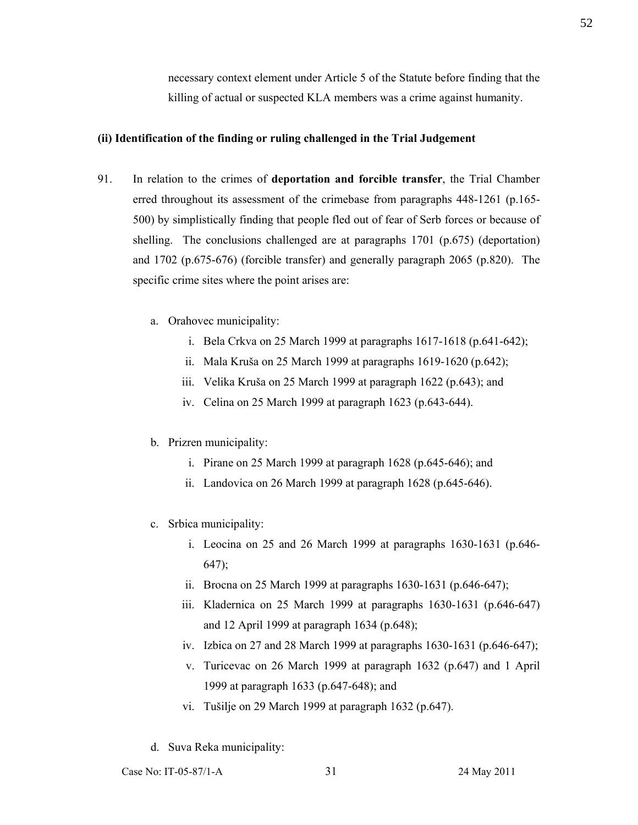necessary context element under Article 5 of the Statute before finding that the killing of actual or suspected KLA members was a crime against humanity.

### **(ii) Identification of the finding or ruling challenged in the Trial Judgement**

- 91. In relation to the crimes of **deportation and forcible transfer**, the Trial Chamber erred throughout its assessment of the crimebase from paragraphs 448-1261 (p.165- 500) by simplistically finding that people fled out of fear of Serb forces or because of shelling. The conclusions challenged are at paragraphs 1701 (p.675) (deportation) and 1702 (p.675-676) (forcible transfer) and generally paragraph 2065 (p.820). The specific crime sites where the point arises are:
	- a. Orahovec municipality:
		- i. Bela Crkva on 25 March 1999 at paragraphs 1617-1618 (p.641-642);
		- ii. Mala Kruša on 25 March 1999 at paragraphs 1619-1620 (p.642);
		- iii. Velika Kruša on 25 March 1999 at paragraph 1622 (p.643); and
		- iv. Celina on 25 March 1999 at paragraph 1623 (p.643-644).
	- b. Prizren municipality:
		- i. Pirane on 25 March 1999 at paragraph 1628 (p.645-646); and
		- ii. Landovica on 26 March 1999 at paragraph 1628 (p.645-646).
	- c. Srbica municipality:
		- i. Leocina on 25 and 26 March 1999 at paragraphs 1630-1631 (p.646- 647);
		- ii. Brocna on 25 March 1999 at paragraphs 1630-1631 (p.646-647);
		- iii. Kladernica on 25 March 1999 at paragraphs 1630-1631 (p.646-647) and 12 April 1999 at paragraph 1634 (p.648);
		- iv. Izbica on 27 and 28 March 1999 at paragraphs 1630-1631 (p.646-647);
		- v. Turicevac on 26 March 1999 at paragraph 1632 (p.647) and 1 April 1999 at paragraph 1633 (p.647-648); and
		- vi. Tušilje on 29 March 1999 at paragraph 1632 (p.647).
	- d. Suva Reka municipality: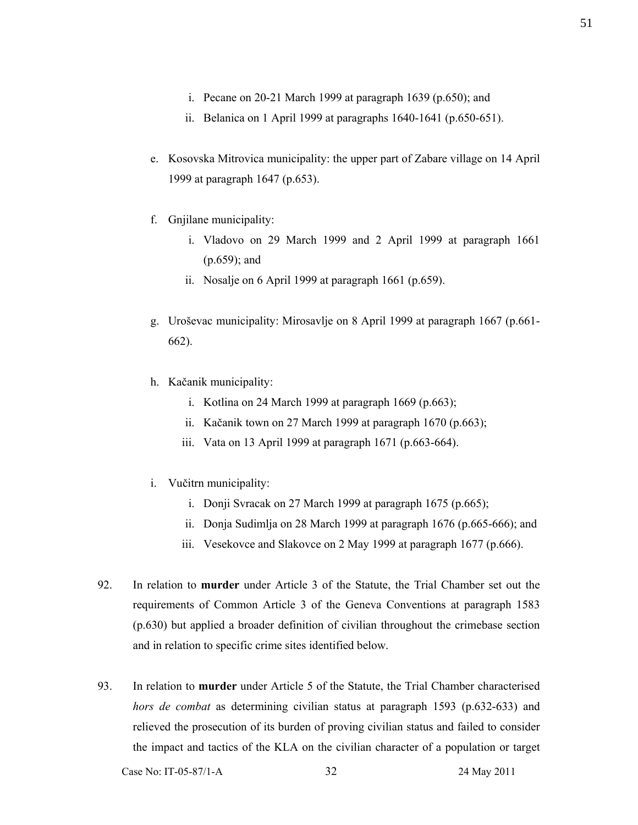- i. Pecane on 20-21 March 1999 at paragraph 1639 (p.650); and
- ii. Belanica on 1 April 1999 at paragraphs 1640-1641 (p.650-651).
- e. Kosovska Mitrovica municipality: the upper part of Zabare village on 14 April 1999 at paragraph 1647 (p.653).
- f. Gnjilane municipality:
	- i. Vladovo on 29 March 1999 and 2 April 1999 at paragraph 1661 (p.659); and
	- ii. Nosalje on 6 April 1999 at paragraph 1661 (p.659).
- g. Uroševac municipality: Mirosavlje on 8 April 1999 at paragraph 1667 (p.661- 662).
- h. Kačanik municipality:
	- i. Kotlina on 24 March 1999 at paragraph  $1669$  (p.663);
	- ii. Kačanik town on 27 March 1999 at paragraph 1670 (p.663);
	- iii. Vata on 13 April 1999 at paragraph 1671 (p.663-664).
- i. Vučitrn municipality:
	- i. Donji Svracak on 27 March 1999 at paragraph 1675 (p.665);
	- ii. Donja Sudimlja on 28 March 1999 at paragraph 1676 (p.665-666); and
	- iii. Vesekovce and Slakovce on 2 May 1999 at paragraph 1677 (p.666).
- 92. In relation to **murder** under Article 3 of the Statute, the Trial Chamber set out the requirements of Common Article 3 of the Geneva Conventions at paragraph 1583 (p.630) but applied a broader definition of civilian throughout the crimebase section and in relation to specific crime sites identified below.
- 93. In relation to **murder** under Article 5 of the Statute, the Trial Chamber characterised *hors de combat* as determining civilian status at paragraph 1593 (p.632-633) and relieved the prosecution of its burden of proving civilian status and failed to consider the impact and tactics of the KLA on the civilian character of a population or target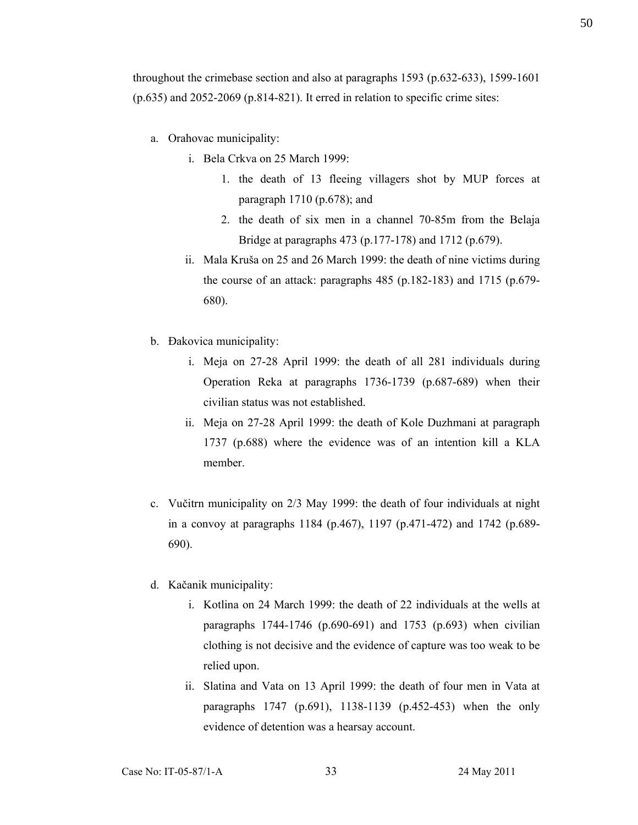throughout the crimebase section and also at paragraphs 1593 (p.632-633), 1599-1601  $(p.635)$  and 2052-2069  $(p.814-821)$ . It erred in relation to specific crime sites:

- a. Orahovac municipality:
	- i. Bela Crkva on 25 March 1999:
		- 1. the death of 13 fleeing villagers shot by MUP forces at paragraph 1710 (p.678); and
		- 2. the death of six men in a channel 70-85m from the Belaja Bridge at paragraphs 473 (p.177-178) and 1712 (p.679).
	- ii. Mala Kruša on 25 and 26 March 1999: the death of nine victims during the course of an attack: paragraphs 485 (p.182-183) and 1715 (p.679- 680).
- b. Đakovica municipality:
	- i. Meja on 27-28 April 1999: the death of all 281 individuals during Operation Reka at paragraphs 1736-1739 (p.687-689) when their civilian status was not established.
	- ii. Meja on 27-28 April 1999: the death of Kole Duzhmani at paragraph 1737 (p.688) where the evidence was of an intention kill a KLA member.
- c. Vučitrn municipality on 2/3 May 1999: the death of four individuals at night in a convoy at paragraphs 1184 (p.467), 1197 (p.471-472) and 1742 (p.689- 690).
- d. Kačanik municipality:
	- i. Kotlina on 24 March 1999: the death of 22 individuals at the wells at paragraphs 1744-1746 (p.690-691) and 1753 (p.693) when civilian clothing is not decisive and the evidence of capture was too weak to be relied upon.
	- ii. Slatina and Vata on 13 April 1999: the death of four men in Vata at paragraphs 1747 (p.691), 1138-1139 (p.452-453) when the only evidence of detention was a hearsay account.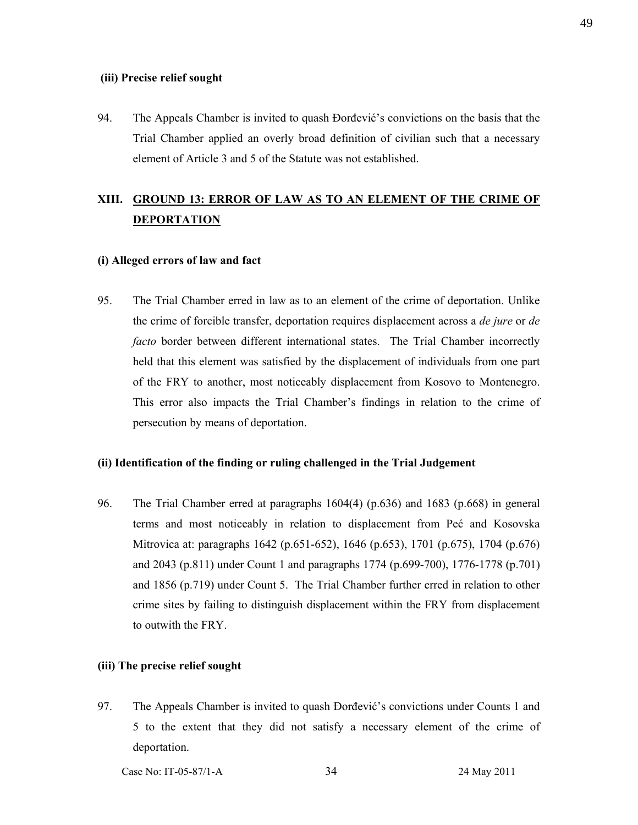#### **(iii) Precise relief sought**

94. The Appeals Chamber is invited to quash Đorđević's convictions on the basis that the Trial Chamber applied an overly broad definition of civilian such that a necessary element of Article 3 and 5 of the Statute was not established.

# **XIII. GROUND 13: ERROR OF LAW AS TO AN ELEMENT OF THE CRIME OF DEPORTATION**

### **(i) Alleged errors of law and fact**

95. The Trial Chamber erred in law as to an element of the crime of deportation. Unlike the crime of forcible transfer, deportation requires displacement across a *de jure* or *de facto* border between different international states. The Trial Chamber incorrectly held that this element was satisfied by the displacement of individuals from one part of the FRY to another, most noticeably displacement from Kosovo to Montenegro. This error also impacts the Trial Chamber's findings in relation to the crime of persecution by means of deportation.

### **(ii) Identification of the finding or ruling challenged in the Trial Judgement**

96. The Trial Chamber erred at paragraphs 1604(4) (p.636) and 1683 (p.668) in general terms and most noticeably in relation to displacement from Peć and Kosovska Mitrovica at: paragraphs 1642 (p.651-652), 1646 (p.653), 1701 (p.675), 1704 (p.676) and 2043 (p.811) under Count 1 and paragraphs 1774 (p.699-700), 1776-1778 (p.701) and 1856 (p.719) under Count 5. The Trial Chamber further erred in relation to other crime sites by failing to distinguish displacement within the FRY from displacement to outwith the FRY.

#### **(iii) The precise relief sought**

97. The Appeals Chamber is invited to quash Đorđević's convictions under Counts 1 and 5 to the extent that they did not satisfy a necessary element of the crime of deportation.

Case No: IT-05-87/1-A 34 24 May 2011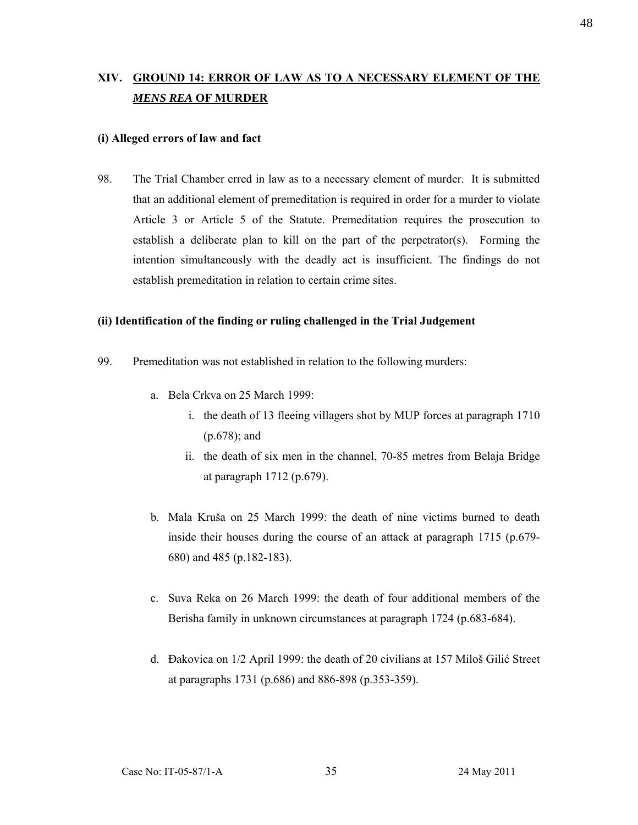# **XIV. GROUND 14: ERROR OF LAW AS TO A NECESSARY ELEMENT OF THE**  *MENS REA* **OF MURDER**

### **(i) Alleged errors of law and fact**

98. The Trial Chamber erred in law as to a necessary element of murder. It is submitted that an additional element of premeditation is required in order for a murder to violate Article 3 or Article 5 of the Statute. Premeditation requires the prosecution to establish a deliberate plan to kill on the part of the perpetrator(s). Forming the intention simultaneously with the deadly act is insufficient. The findings do not establish premeditation in relation to certain crime sites.

### **(ii) Identification of the finding or ruling challenged in the Trial Judgement**

- 99. Premeditation was not established in relation to the following murders:
	- a. Bela Crkva on 25 March 1999:
		- i. the death of 13 fleeing villagers shot by MUP forces at paragraph 1710 (p.678); and
		- ii. the death of six men in the channel, 70-85 metres from Belaja Bridge at paragraph 1712 (p.679).
	- b. Mala Kruša on 25 March 1999: the death of nine victims burned to death inside their houses during the course of an attack at paragraph 1715 (p.679- 680) and 485 (p.182-183).
	- c. Suva Reka on 26 March 1999: the death of four additional members of the Berisha family in unknown circumstances at paragraph 1724 (p.683-684).
	- d. Đakovica on 1/2 April 1999: the death of 20 civilians at 157 Miloš Gilić Street at paragraphs 1731 (p.686) and 886-898 (p.353-359).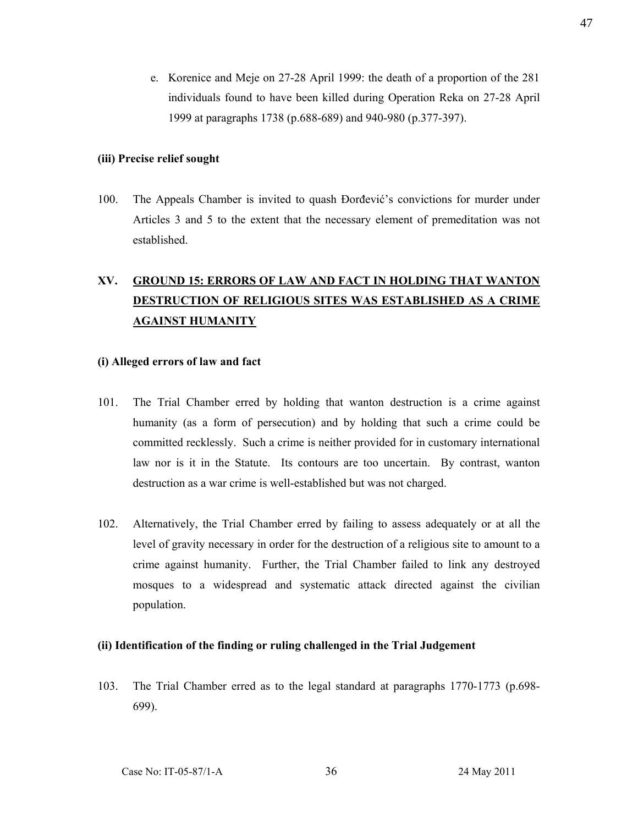e. Korenice and Meje on 27-28 April 1999: the death of a proportion of the 281 individuals found to have been killed during Operation Reka on 27-28 April 1999 at paragraphs 1738 (p.688-689) and 940-980 (p.377-397).

#### **(iii) Precise relief sought**

100. The Appeals Chamber is invited to quash Đorđević's convictions for murder under Articles 3 and 5 to the extent that the necessary element of premeditation was not established.

# **XV. GROUND 15: ERRORS OF LAW AND FACT IN HOLDING THAT WANTON DESTRUCTION OF RELIGIOUS SITES WAS ESTABLISHED AS A CRIME AGAINST HUMANITY**

### **(i) Alleged errors of law and fact**

- 101. The Trial Chamber erred by holding that wanton destruction is a crime against humanity (as a form of persecution) and by holding that such a crime could be committed recklessly. Such a crime is neither provided for in customary international law nor is it in the Statute. Its contours are too uncertain. By contrast, wanton destruction as a war crime is well-established but was not charged.
- 102. Alternatively, the Trial Chamber erred by failing to assess adequately or at all the level of gravity necessary in order for the destruction of a religious site to amount to a crime against humanity. Further, the Trial Chamber failed to link any destroyed mosques to a widespread and systematic attack directed against the civilian population.

### **(ii) Identification of the finding or ruling challenged in the Trial Judgement**

103. The Trial Chamber erred as to the legal standard at paragraphs 1770-1773 (p.698- 699).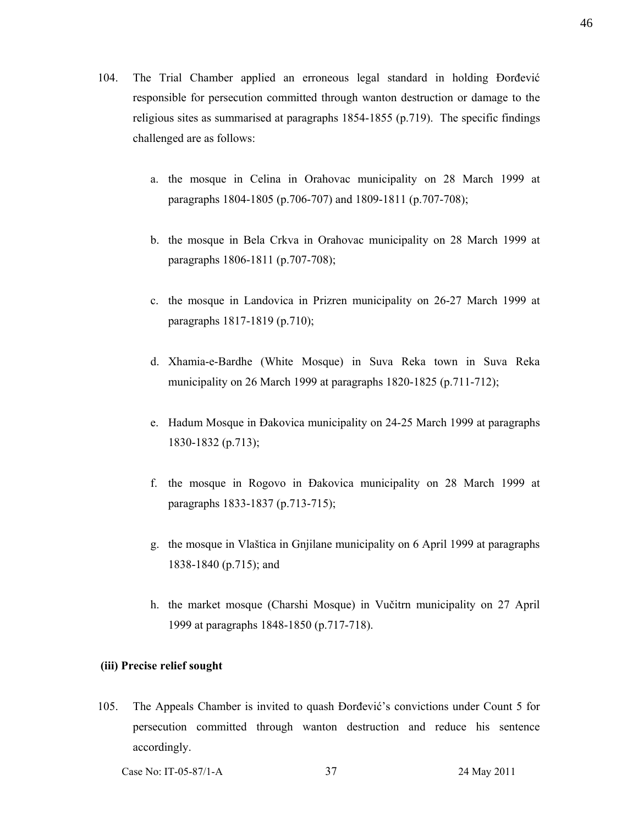- 104. The Trial Chamber applied an erroneous legal standard in holding Đorđević responsible for persecution committed through wanton destruction or damage to the religious sites as summarised at paragraphs 1854-1855 (p.719). The specific findings challenged are as follows:
	- a. the mosque in Celina in Orahovac municipality on 28 March 1999 at paragraphs 1804-1805 (p.706-707) and 1809-1811 (p.707-708);
	- b. the mosque in Bela Crkva in Orahovac municipality on 28 March 1999 at paragraphs 1806-1811 (p.707-708);
	- c. the mosque in Landovica in Prizren municipality on 26-27 March 1999 at paragraphs 1817-1819 (p.710);
	- d. Xhamia-e-Bardhe (White Mosque) in Suva Reka town in Suva Reka municipality on 26 March 1999 at paragraphs 1820-1825 (p.711-712);
	- e. Hadum Mosque in Đakovica municipality on 24-25 March 1999 at paragraphs 1830-1832 (p.713);
	- f. the mosque in Rogovo in Đakovica municipality on 28 March 1999 at paragraphs 1833-1837 (p.713-715);
	- g. the mosque in Vlaštica in Gnjilane municipality on 6 April 1999 at paragraphs 1838-1840 (p.715); and
	- h. the market mosque (Charshi Mosque) in Vučitrn municipality on 27 April 1999 at paragraphs 1848-1850 (p.717-718).

### **(iii) Precise relief sought**

105. The Appeals Chamber is invited to quash Đorđević's convictions under Count 5 for persecution committed through wanton destruction and reduce his sentence accordingly.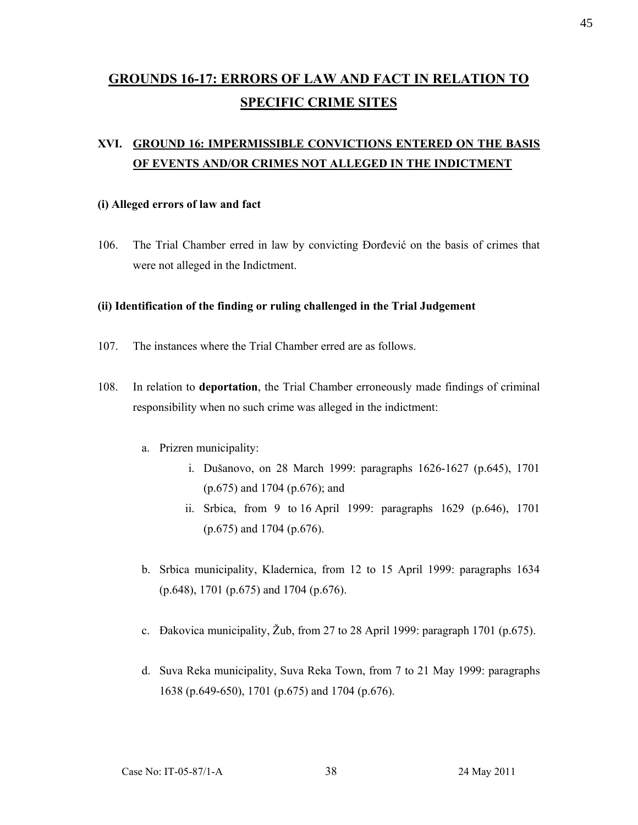# **GROUNDS 16-17: ERRORS OF LAW AND FACT IN RELATION TO SPECIFIC CRIME SITES**

# **XVI. GROUND 16: IMPERMISSIBLE CONVICTIONS ENTERED ON THE BASIS OF EVENTS AND/OR CRIMES NOT ALLEGED IN THE INDICTMENT**

### **(i) Alleged errors of law and fact**

106. The Trial Chamber erred in law by convicting Đorđević on the basis of crimes that were not alleged in the Indictment.

### **(ii) Identification of the finding or ruling challenged in the Trial Judgement**

- 107. The instances where the Trial Chamber erred are as follows.
- 108. In relation to **deportation**, the Trial Chamber erroneously made findings of criminal responsibility when no such crime was alleged in the indictment:
	- a. Prizren municipality:
		- i. Dušanovo, on 28 March 1999: paragraphs 1626-1627 (p.645), 1701 (p.675) and 1704 (p.676); and
		- ii. Srbica, from 9 to 16 April 1999: paragraphs 1629 (p.646), 1701 (p.675) and 1704 (p.676).
	- b. Srbica municipality, Kladernica, from 12 to 15 April 1999: paragraphs 1634 (p.648), 1701 (p.675) and 1704 (p.676).
	- c. Đakovica municipality, Žub, from 27 to 28 April 1999: paragraph 1701 (p.675).
	- d. Suva Reka municipality, Suva Reka Town, from 7 to 21 May 1999: paragraphs 1638 (p.649-650), 1701 (p.675) and 1704 (p.676).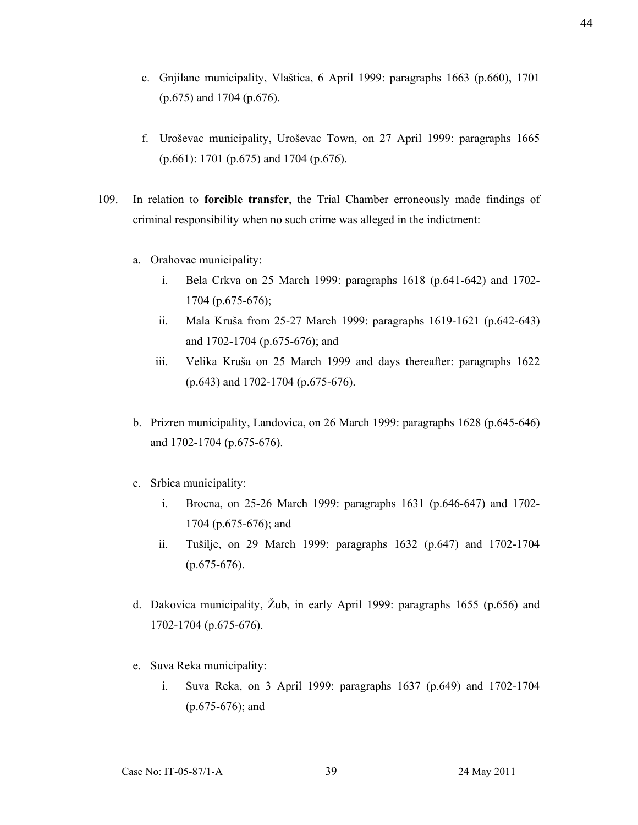- e. Gnjilane municipality, Vlaštica, 6 April 1999: paragraphs 1663 (p.660), 1701 (p.675) and 1704 (p.676).
- f. Uroševac municipality, Uroševac Town, on 27 April 1999: paragraphs 1665 (p.661): 1701 (p.675) and 1704 (p.676).
- 109. In relation to **forcible transfer**, the Trial Chamber erroneously made findings of criminal responsibility when no such crime was alleged in the indictment:
	- a. Orahovac municipality:
		- i. Bela Crkva on 25 March 1999: paragraphs 1618 (p.641-642) and 1702- 1704 (p.675-676);
		- ii. Mala Kruša from 25-27 March 1999: paragraphs 1619-1621 (p.642-643) and 1702-1704 (p.675-676); and
		- iii. Velika Kruša on 25 March 1999 and days thereafter: paragraphs 1622 (p.643) and 1702-1704 (p.675-676).
	- b. Prizren municipality, Landovica, on 26 March 1999: paragraphs 1628 (p.645-646) and 1702-1704 (p.675-676).
	- c. Srbica municipality:
		- i. Brocna, on 25-26 March 1999: paragraphs 1631 (p.646-647) and 1702- 1704 (p.675-676); and
		- ii. Tušilje, on 29 March 1999: paragraphs 1632 (p.647) and 1702-1704 (p.675-676).
	- d. Đakovica municipality, Žub, in early April 1999: paragraphs 1655 (p.656) and 1702-1704 (p.675-676).
	- e. Suva Reka municipality:
		- i. Suva Reka, on 3 April 1999: paragraphs 1637 (p.649) and 1702-1704 (p.675-676); and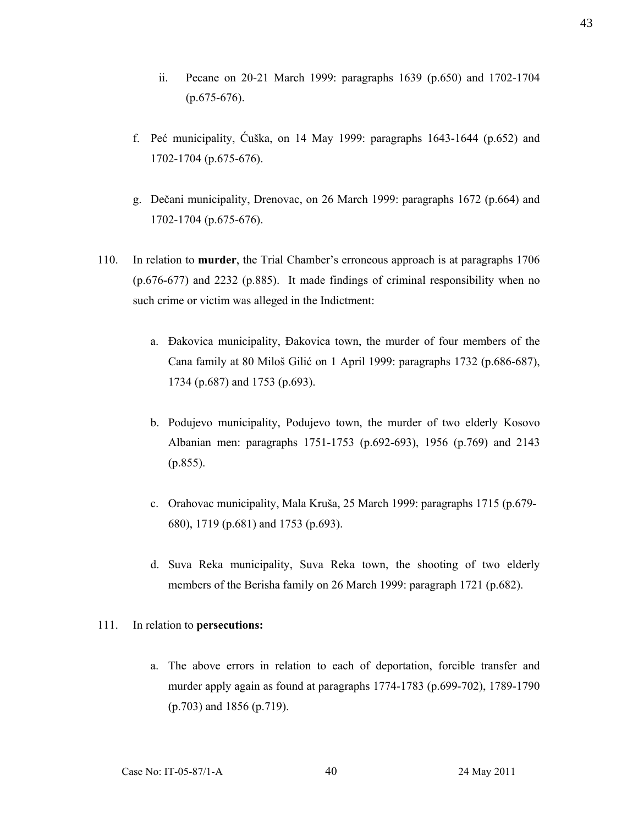- ii. Pecane on 20-21 March 1999: paragraphs 1639 (p.650) and 1702-1704  $(p.675-676)$ .
- f. Peć municipality, Ćuška, on 14 May 1999: paragraphs 1643-1644 (p.652) and 1702-1704 (p.675-676).
- g. Dečani municipality, Drenovac, on 26 March 1999: paragraphs 1672 (p.664) and 1702-1704 (p.675-676).
- 110. In relation to **murder**, the Trial Chamber's erroneous approach is at paragraphs 1706 (p.676-677) and 2232 (p.885). It made findings of criminal responsibility when no such crime or victim was alleged in the Indictment:
	- a. Đakovica municipality, Đakovica town, the murder of four members of the Cana family at 80 Miloš Gilić on 1 April 1999: paragraphs 1732 (p.686-687), 1734 (p.687) and 1753 (p.693).
	- b. Podujevo municipality, Podujevo town, the murder of two elderly Kosovo Albanian men: paragraphs 1751-1753 (p.692-693), 1956 (p.769) and 2143 (p.855).
	- c. Orahovac municipality, Mala Kruša, 25 March 1999: paragraphs 1715 (p.679- 680), 1719 (p.681) and 1753 (p.693).
	- d. Suva Reka municipality, Suva Reka town, the shooting of two elderly members of the Berisha family on 26 March 1999: paragraph 1721 (p.682).

### 111. In relation to **persecutions:**

a. The above errors in relation to each of deportation, forcible transfer and murder apply again as found at paragraphs 1774-1783 (p.699-702), 1789-1790 (p.703) and 1856 (p.719).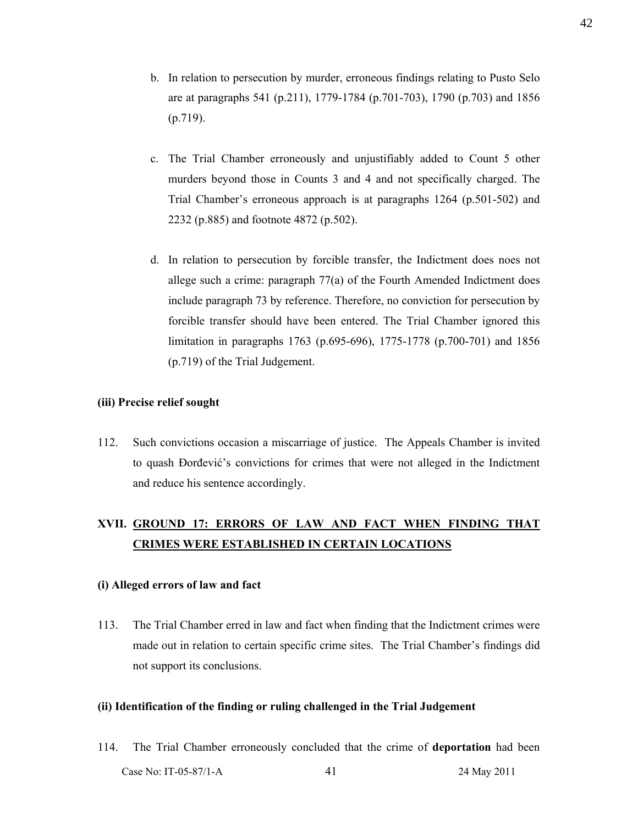- b. In relation to persecution by murder, erroneous findings relating to Pusto Selo are at paragraphs 541 (p.211), 1779-1784 (p.701-703), 1790 (p.703) and 1856 (p.719).
- c. The Trial Chamber erroneously and unjustifiably added to Count 5 other murders beyond those in Counts 3 and 4 and not specifically charged. The Trial Chamber's erroneous approach is at paragraphs 1264 (p.501-502) and 2232 (p.885) and footnote 4872 (p.502).
- d. In relation to persecution by forcible transfer, the Indictment does noes not allege such a crime: paragraph 77(a) of the Fourth Amended Indictment does include paragraph 73 by reference. Therefore, no conviction for persecution by forcible transfer should have been entered. The Trial Chamber ignored this limitation in paragraphs 1763 (p.695-696), 1775-1778 (p.700-701) and 1856 (p.719) of the Trial Judgement.

### **(iii) Precise relief sought**

112. Such convictions occasion a miscarriage of justice. The Appeals Chamber is invited to quash Đorđević's convictions for crimes that were not alleged in the Indictment and reduce his sentence accordingly.

# **XVII. GROUND 17: ERRORS OF LAW AND FACT WHEN FINDING THAT CRIMES WERE ESTABLISHED IN CERTAIN LOCATIONS**

## **(i) Alleged errors of law and fact**

113. The Trial Chamber erred in law and fact when finding that the Indictment crimes were made out in relation to certain specific crime sites. The Trial Chamber's findings did not support its conclusions.

#### **(ii) Identification of the finding or ruling challenged in the Trial Judgement**

Case No: IT-05-87/1-A 41 24 May 2011 114. The Trial Chamber erroneously concluded that the crime of **deportation** had been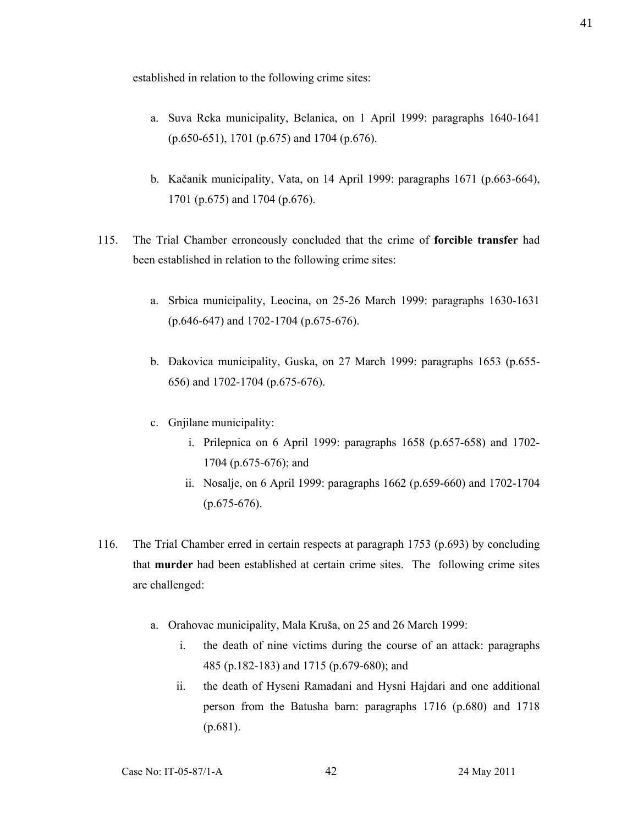established in relation to the following crime sites:

- a. Suva Reka municipality, Belanica, on 1 April 1999: paragraphs 1640-1641 (p.650-651), 1701 (p.675) and 1704 (p.676).
- b. Kačanik municipality, Vata, on 14 April 1999: paragraphs 1671 (p.663-664), 1701 (p.675) and 1704 (p.676).
- 115. The Trial Chamber erroneously concluded that the crime of **forcible transfer** had been established in relation to the following crime sites:
	- a. Srbica municipality, Leocina, on 25-26 March 1999: paragraphs 1630-1631 (p.646-647) and 1702-1704 (p.675-676).
	- b. Đakovica municipality, Guska, on 27 March 1999: paragraphs 1653 (p.655- 656) and 1702-1704 (p.675-676).
	- c. Gnjilane municipality:
		- i. Prilepnica on 6 April 1999: paragraphs 1658 (p.657-658) and 1702- 1704 (p.675-676); and
		- ii. Nosalje, on 6 April 1999: paragraphs 1662 (p.659-660) and 1702-1704 (p.675-676).
- 116. The Trial Chamber erred in certain respects at paragraph 1753 (p.693) by concluding that **murder** had been established at certain crime sites. The following crime sites are challenged:
	- a. Orahovac municipality, Mala Kruša, on 25 and 26 March 1999:
		- i. the death of nine victims during the course of an attack: paragraphs 485 (p.182-183) and 1715 (p.679-680); and
		- ii. the death of Hyseni Ramadani and Hysni Hajdari and one additional person from the Batusha barn: paragraphs 1716 (p.680) and 1718 (p.681).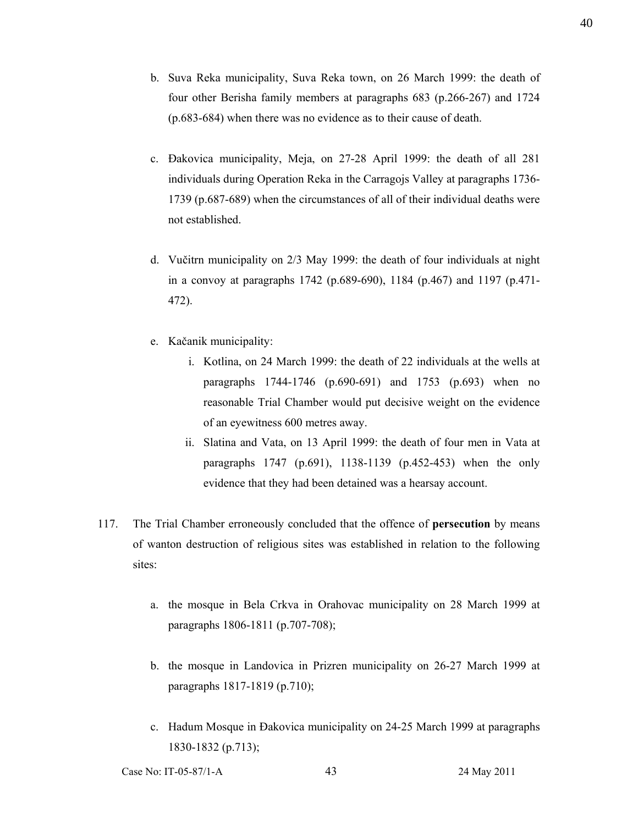- b. Suva Reka municipality, Suva Reka town, on 26 March 1999: the death of four other Berisha family members at paragraphs 683 (p.266-267) and 1724 (p.683-684) when there was no evidence as to their cause of death.
- c. Đakovica municipality, Meja, on 27-28 April 1999: the death of all 281 individuals during Operation Reka in the Carragojs Valley at paragraphs 1736- 1739 (p.687-689) when the circumstances of all of their individual deaths were not established.
- d. Vučitrn municipality on 2/3 May 1999: the death of four individuals at night in a convoy at paragraphs 1742 (p.689-690), 1184 (p.467) and 1197 (p.471- 472).
- e. Kačanik municipality:
	- i. Kotlina, on 24 March 1999: the death of 22 individuals at the wells at paragraphs 1744-1746 (p.690-691) and 1753 (p.693) when no reasonable Trial Chamber would put decisive weight on the evidence of an eyewitness 600 metres away.
	- ii. Slatina and Vata, on 13 April 1999: the death of four men in Vata at paragraphs 1747 (p.691), 1138-1139 (p.452-453) when the only evidence that they had been detained was a hearsay account.
- 117. The Trial Chamber erroneously concluded that the offence of **persecution** by means of wanton destruction of religious sites was established in relation to the following sites:
	- a. the mosque in Bela Crkva in Orahovac municipality on 28 March 1999 at paragraphs 1806-1811 (p.707-708);
	- b. the mosque in Landovica in Prizren municipality on 26-27 March 1999 at paragraphs 1817-1819 (p.710);
	- c. Hadum Mosque in Đakovica municipality on 24-25 March 1999 at paragraphs 1830-1832 (p.713);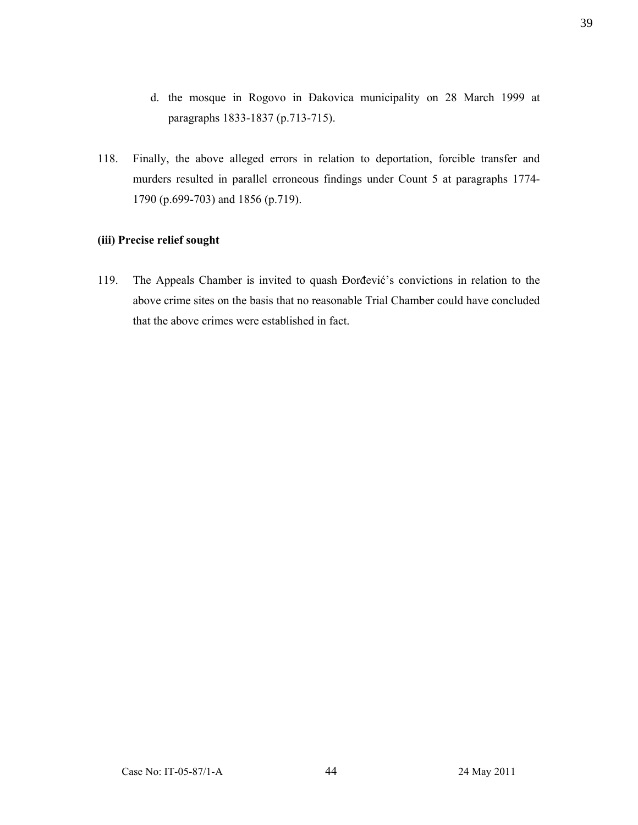- d. the mosque in Rogovo in Đakovica municipality on 28 March 1999 at paragraphs 1833-1837 (p.713-715).
- 118. Finally, the above alleged errors in relation to deportation, forcible transfer and murders resulted in parallel erroneous findings under Count 5 at paragraphs 1774- 1790 (p.699-703) and 1856 (p.719).

### **(iii) Precise relief sought**

119. The Appeals Chamber is invited to quash Đorđević's convictions in relation to the above crime sites on the basis that no reasonable Trial Chamber could have concluded that the above crimes were established in fact.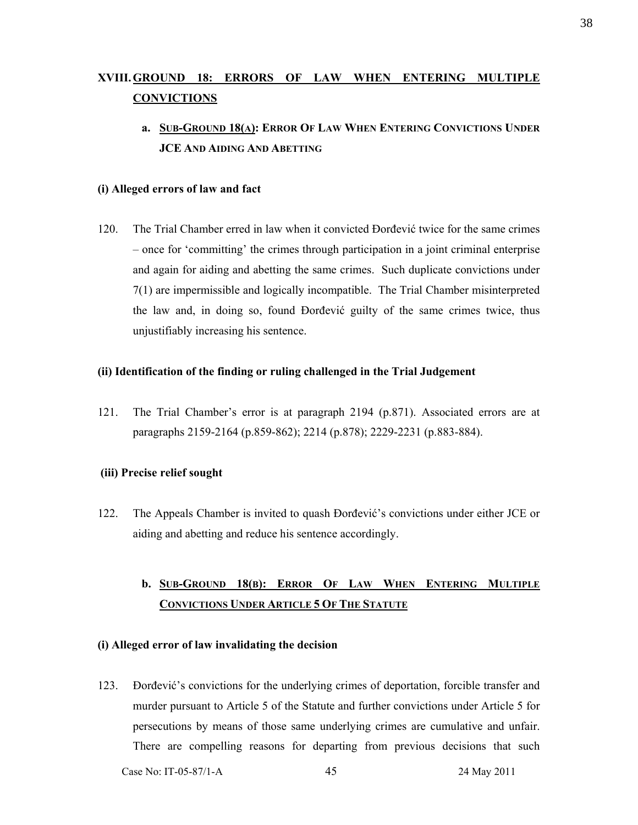# **XVIII.GROUND 18: ERRORS OF LAW WHEN ENTERING MULTIPLE CONVICTIONS**

# **a. SUB-GROUND 18(A): ERROR OF LAW WHEN ENTERING CONVICTIONS UNDER JCE AND AIDING AND ABETTING**

### **(i) Alleged errors of law and fact**

120. The Trial Chamber erred in law when it convicted Đorđević twice for the same crimes – once for 'committing' the crimes through participation in a joint criminal enterprise and again for aiding and abetting the same crimes. Such duplicate convictions under 7(1) are impermissible and logically incompatible. The Trial Chamber misinterpreted the law and, in doing so, found Đorđević guilty of the same crimes twice, thus unjustifiably increasing his sentence.

### **(ii) Identification of the finding or ruling challenged in the Trial Judgement**

121. The Trial Chamber's error is at paragraph 2194 (p.871). Associated errors are at paragraphs 2159-2164 (p.859-862); 2214 (p.878); 2229-2231 (p.883-884).

### **(iii) Precise relief sought**

122. The Appeals Chamber is invited to quash Đorđević's convictions under either JCE or aiding and abetting and reduce his sentence accordingly.

# **b. SUB-GROUND 18(B): ERROR OF LAW WHEN ENTERING MULTIPLE CONVICTIONS UNDER ARTICLE 5 OF THE STATUTE**

### **(i) Alleged error of law invalidating the decision**

123. Đorđević's convictions for the underlying crimes of deportation, forcible transfer and murder pursuant to Article 5 of the Statute and further convictions under Article 5 for persecutions by means of those same underlying crimes are cumulative and unfair. There are compelling reasons for departing from previous decisions that such

Case No: IT-05-87/1-A 45 24 May 2011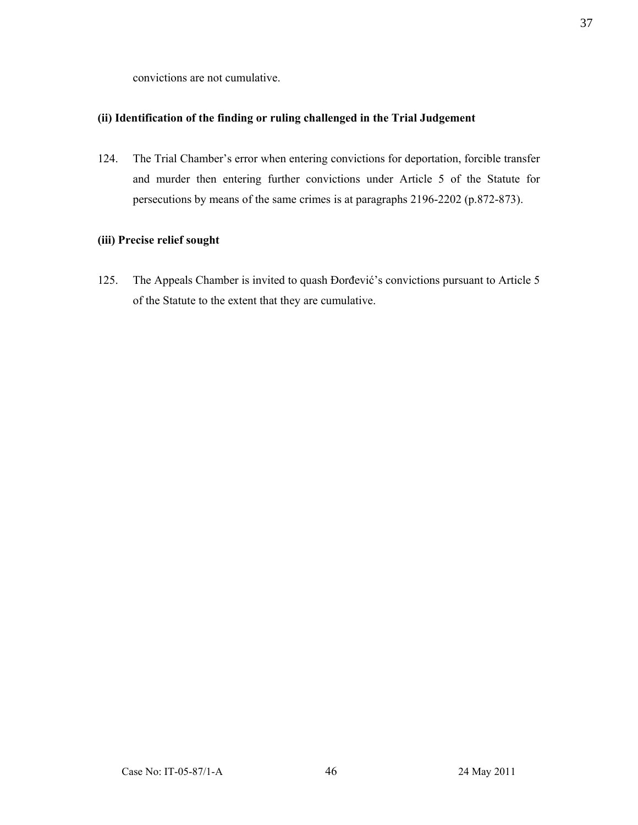convictions are not cumulative.

### **(ii) Identification of the finding or ruling challenged in the Trial Judgement**

124. The Trial Chamber's error when entering convictions for deportation, forcible transfer and murder then entering further convictions under Article 5 of the Statute for persecutions by means of the same crimes is at paragraphs 2196-2202 (p.872-873).

# **(iii) Precise relief sought**

125. The Appeals Chamber is invited to quash Đorđević's convictions pursuant to Article 5 of the Statute to the extent that they are cumulative.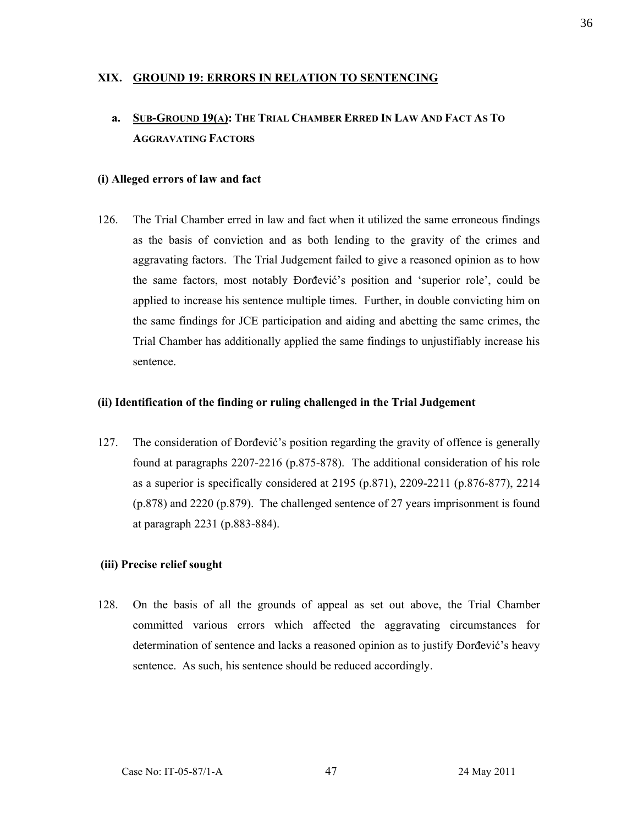## **XIX. GROUND 19: ERRORS IN RELATION TO SENTENCING**

# **a. SUB-GROUND 19(A): THE TRIAL CHAMBER ERRED IN LAW AND FACT AS TO AGGRAVATING FACTORS**

### **(i) Alleged errors of law and fact**

126. The Trial Chamber erred in law and fact when it utilized the same erroneous findings as the basis of conviction and as both lending to the gravity of the crimes and aggravating factors. The Trial Judgement failed to give a reasoned opinion as to how the same factors, most notably Đorđević's position and 'superior role', could be applied to increase his sentence multiple times. Further, in double convicting him on the same findings for JCE participation and aiding and abetting the same crimes, the Trial Chamber has additionally applied the same findings to unjustifiably increase his sentence.

#### **(ii) Identification of the finding or ruling challenged in the Trial Judgement**

127. The consideration of Đorđević's position regarding the gravity of offence is generally found at paragraphs 2207-2216 (p.875-878). The additional consideration of his role as a superior is specifically considered at 2195 (p.871), 2209-2211 (p.876-877), 2214 (p.878) and 2220 (p.879). The challenged sentence of 27 years imprisonment is found at paragraph 2231 (p.883-884).

### **(iii) Precise relief sought**

128. On the basis of all the grounds of appeal as set out above, the Trial Chamber committed various errors which affected the aggravating circumstances for determination of sentence and lacks a reasoned opinion as to justify Đorđević's heavy sentence. As such, his sentence should be reduced accordingly.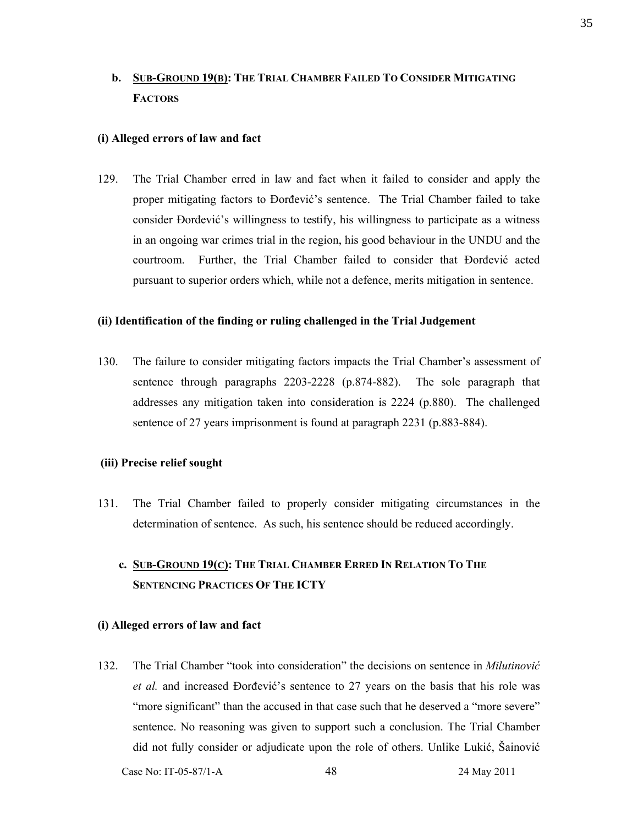# **b. SUB-GROUND 19(B): THE TRIAL CHAMBER FAILED TO CONSIDER MITIGATING FACTORS**

### **(i) Alleged errors of law and fact**

129. The Trial Chamber erred in law and fact when it failed to consider and apply the proper mitigating factors to Đorđević's sentence. The Trial Chamber failed to take consider Đorđević's willingness to testify, his willingness to participate as a witness in an ongoing war crimes trial in the region, his good behaviour in the UNDU and the courtroom. Further, the Trial Chamber failed to consider that Đorđević acted pursuant to superior orders which, while not a defence, merits mitigation in sentence.

#### **(ii) Identification of the finding or ruling challenged in the Trial Judgement**

130. The failure to consider mitigating factors impacts the Trial Chamber's assessment of sentence through paragraphs 2203-2228 (p.874-882). The sole paragraph that addresses any mitigation taken into consideration is 2224 (p.880). The challenged sentence of 27 years imprisonment is found at paragraph 2231 (p.883-884).

### **(iii) Precise relief sought**

- 131. The Trial Chamber failed to properly consider mitigating circumstances in the determination of sentence. As such, his sentence should be reduced accordingly.
	- **c. SUB-GROUND 19(C): THE TRIAL CHAMBER ERRED IN RELATION TO THE SENTENCING PRACTICES OF THE ICTY**

#### **(i) Alleged errors of law and fact**

132. The Trial Chamber "took into consideration" the decisions on sentence in *Milutinović et al.* and increased Đorđević's sentence to 27 years on the basis that his role was "more significant" than the accused in that case such that he deserved a "more severe" sentence. No reasoning was given to support such a conclusion. The Trial Chamber did not fully consider or adjudicate upon the role of others. Unlike Lukić, Šainović

Case No: IT-05-87/1-A 48 24 May 2011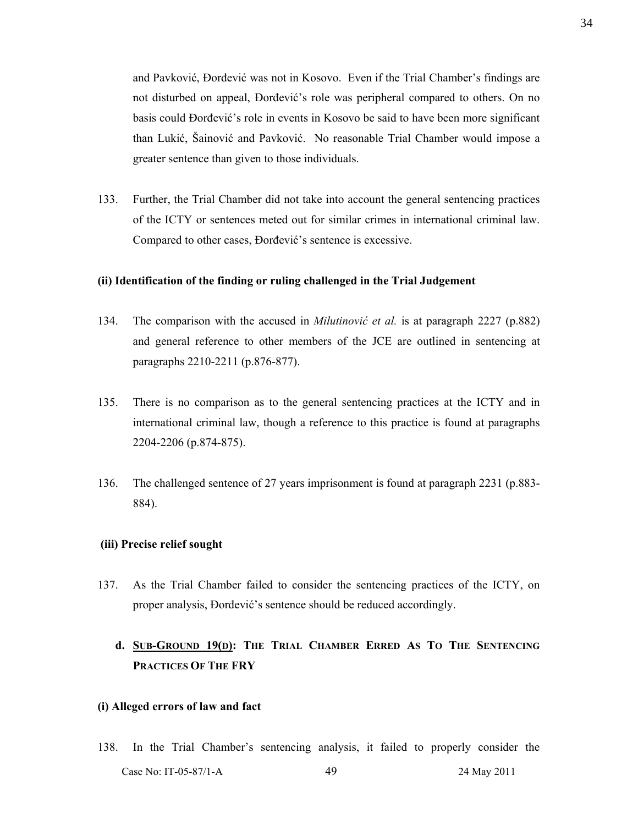and Pavković, Đorđević was not in Kosovo. Even if the Trial Chamber's findings are not disturbed on appeal, Đorđević's role was peripheral compared to others. On no basis could Đorđević's role in events in Kosovo be said to have been more significant than Lukić, Šainović and Pavković. No reasonable Trial Chamber would impose a greater sentence than given to those individuals.

133. Further, the Trial Chamber did not take into account the general sentencing practices of the ICTY or sentences meted out for similar crimes in international criminal law. Compared to other cases, Đorđević's sentence is excessive.

### **(ii) Identification of the finding or ruling challenged in the Trial Judgement**

- 134. The comparison with the accused in *Milutinović et al.* is at paragraph 2227 (p.882) and general reference to other members of the JCE are outlined in sentencing at paragraphs 2210-2211 (p.876-877).
- 135. There is no comparison as to the general sentencing practices at the ICTY and in international criminal law, though a reference to this practice is found at paragraphs 2204-2206 (p.874-875).
- 136. The challenged sentence of 27 years imprisonment is found at paragraph 2231 (p.883- 884).

#### **(iii) Precise relief sought**

137. As the Trial Chamber failed to consider the sentencing practices of the ICTY, on proper analysis, Đorđević's sentence should be reduced accordingly.

# **d. SUB-GROUND 19(D): THE TRIAL CHAMBER ERRED AS TO THE SENTENCING PRACTICES OF THE FRY**

#### **(i) Alleged errors of law and fact**

Case No: IT-05-87/1-A 49 49 24 May 2011 138. In the Trial Chamber's sentencing analysis, it failed to properly consider the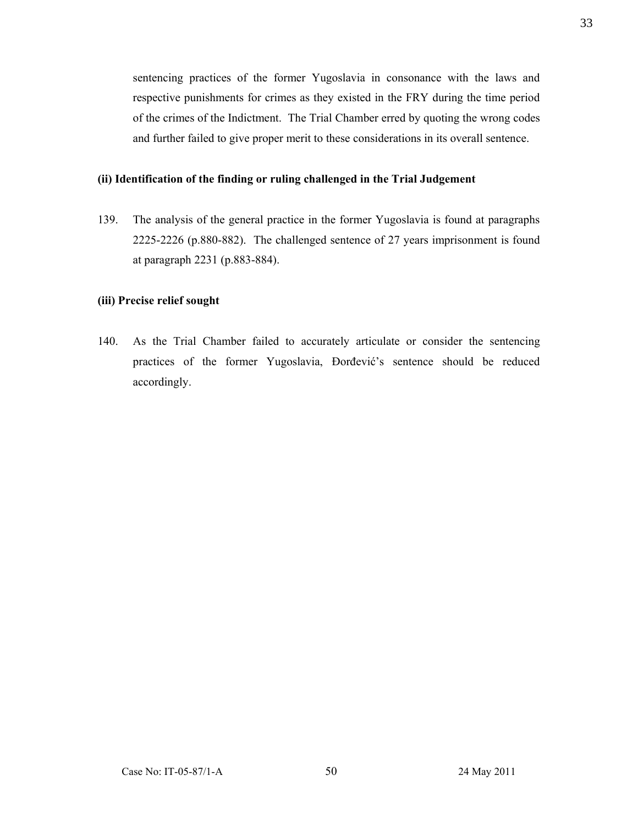sentencing practices of the former Yugoslavia in consonance with the laws and respective punishments for crimes as they existed in the FRY during the time period of the crimes of the Indictment. The Trial Chamber erred by quoting the wrong codes and further failed to give proper merit to these considerations in its overall sentence.

### **(ii) Identification of the finding or ruling challenged in the Trial Judgement**

139. The analysis of the general practice in the former Yugoslavia is found at paragraphs 2225-2226 (p.880-882). The challenged sentence of 27 years imprisonment is found at paragraph 2231 (p.883-884).

### **(iii) Precise relief sought**

140. As the Trial Chamber failed to accurately articulate or consider the sentencing practices of the former Yugoslavia, Đorđević's sentence should be reduced accordingly.